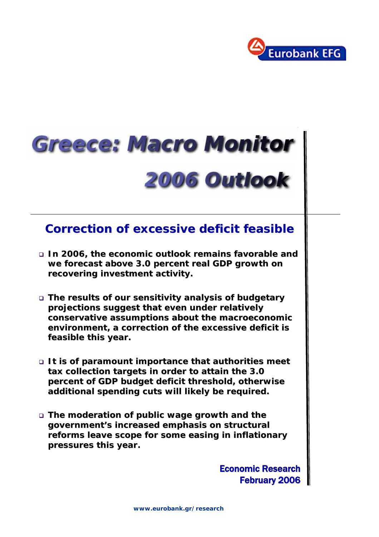

# **Greece: Macro Monitor** 2006 Outlook

# **Correction of excessive deficit feasible Correction of excessive deficit feasible**

- **In 2006, the economic outlook remains favorable and In 2006, the economic outlook remains favorable and**  we forecast above 3.0 percent real GDP growth on recovering investment activity.
- **The results of our sensitivity analysis of budgetary The results of our sensitivity analysis of budgetary projections suggest that even under relatively projections suggest that even under relatively conservative assumptions about the macroeconomic conservative about the macroeconomic environment, a correction of the excessive deficit is feasible this year. feasible this year.**
- **It is of paramount importance that authorities meet** tax collection targets in order to attain the 3.0 **percent of GDP budget deficit threshold, otherwise percent of GDP budget deficit threshold, otherwise additional spending cuts additional spending cuts will likely be required. will likely be required.**
- **The moderation of public wage growth and the The moderation of public wage growth and the government's increased emphasis on structural government's increased emphasis on structural**  reforms leave scope for some easing in inflationary **pressures this year. pressures this**

**Economic Research** February 2006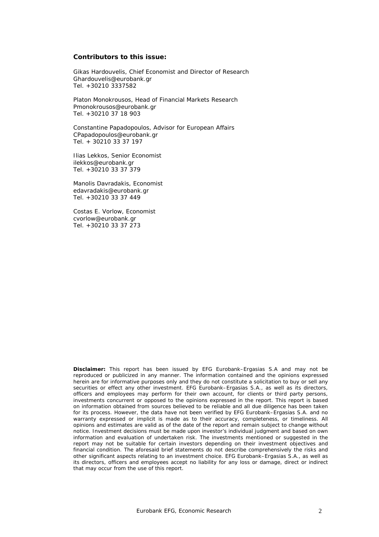#### **Contributors to this issue:**

Gikas Hardouvelis, Chief Economist and Director of Research Ghardouvelis@eurobank.gr Tel. +30210 3337582

Platon Monokrousos, Head of Financial Markets Research Pmonokrousos@eurobank.gr Tel. +30210 37 18 903

Constantine Papadopoulos, Advisor for European Affairs CPapadopoulos@eurobank.gr Tel. + 30210 33 37 197

Ilias Lekkos, Senior Economist ilekkos@eurobank.gr Tel. +30210 33 37 379

Manolis Davradakis, Economist edavradakis@eurobank.gr Tel. +30210 33 37 449

Costas E. Vorlow, Economist cvorlow@eurobank.gr Tel. +30210 33 37 273

**Disclaimer:** This report has been issued by EFG Eurobank–Ergasias S.A and may not be reproduced or publicized in any manner. The information contained and the opinions expressed herein are for informative purposes only and they do not constitute a solicitation to buy or sell any securities or effect any other investment. EFG Eurobank–Ergasias S.A., as well as its directors, officers and employees may perform for their own account, for clients or third party persons, investments concurrent or opposed to the opinions expressed in the report. This report is based on information obtained from sources believed to be reliable and all due diligence has been taken for its process. However, the data have not been verified by EFG Eurobank–Ergasias S.A. and no warranty expressed or implicit is made as to their accuracy, completeness, or timeliness. All opinions and estimates are valid as of the date of the report and remain subject to change without notice. Investment decisions must be made upon investor's individual judgment and based on own information and evaluation of undertaken risk. The investments mentioned or suggested in the report may not be suitable for certain investors depending on their investment objectives and financial condition. The aforesaid brief statements do not describe comprehensively the risks and other significant aspects relating to an investment choice. EFG Eurobank–Ergasias S.A., as well as its directors, officers and employees accept no liability for any loss or damage, direct or indirect that may occur from the use of this report.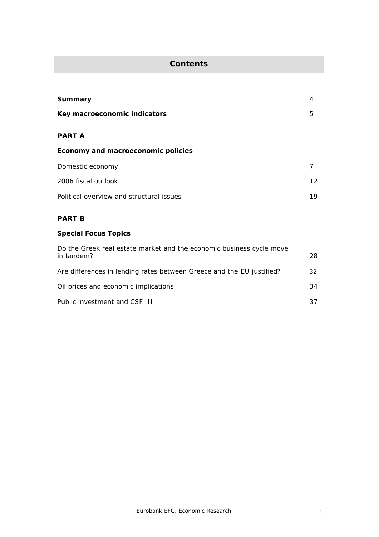# **Contents**

| Summary                                  | 4               |
|------------------------------------------|-----------------|
| Key macroeconomic indicators             | 5               |
| <b>PART A</b>                            |                 |
| Economy and macroeconomic policies       |                 |
| Domestic economy                         |                 |
| 2006 fiscal outlook                      | 12 <sup>7</sup> |
| Political overview and structural issues | 19              |

# **PART B**

# **Special Focus Topics**

| Do the Greek real estate market and the economic business cycle move<br>in tandem? | 28 |
|------------------------------------------------------------------------------------|----|
| Are differences in lending rates between Greece and the EU justified?              | 32 |
| Oil prices and economic implications                                               | 34 |
| Public investment and CSF III                                                      | 37 |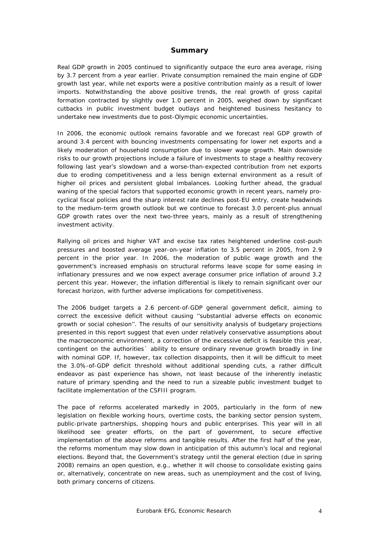# **Summary**

Real GDP growth in 2005 continued to significantly outpace the euro area average, rising by 3.7 percent from a year earlier. Private consumption remained the main engine of GDP growth last year, while net exports were a positive contribution mainly as a result of lower imports. Notwithstanding the above positive trends, the real growth of gross capital formation contracted by slightly over 1.0 percent in 2005, weighed down by significant cutbacks in public investment budget outlays and heightened business hesitancy to undertake new investments due to post-Olympic economic uncertainties.

In 2006, the economic outlook remains favorable and we forecast real GDP growth of around 3.4 percent with bouncing investments compensating for lower net exports and a likely moderation of household consumption due to slower wage growth. Main downside risks to our growth projections include a failure of investments to stage a healthy recovery following last year's slowdown and a worse-than-expected contribution from net exports due to eroding competitiveness and a less benign external environment as a result of higher oil prices and persistent global imbalances. Looking further ahead, the gradual waning of the special factors that supported economic growth in recent years, namely procyclical fiscal policies and the sharp interest rate declines post-EU entry, create headwinds to the medium-term growth outlook but we continue to forecast 3.0 percent-plus annual GDP growth rates over the next two-three years, mainly as a result of strengthening investment activity.

Rallying oil prices and higher VAT and excise tax rates heightened underline cost-push pressures and boosted average year-on-year inflation to 3.5 percent in 2005, from 2.9 percent in the prior year. In 2006, the moderation of public wage growth and the government's increased emphasis on structural reforms leave scope for some easing in inflationary pressures and we now expect average consumer price inflation of around 3.2 percent this year. However, the inflation differential is likely to remain significant over our forecast horizon, with further adverse implications for competitiveness.

The 2006 budget targets a 2.6 percent-of-GDP general government deficit, aiming to correct the excessive deficit without causing ''substantial adverse effects on economic growth or social cohesion''. The results of our sensitivity analysis of budgetary projections presented in this report suggest that even under relatively conservative assumptions about the macroeconomic environment, a correction of the excessive deficit is feasible this year, contingent on the authorities´ ability to ensure ordinary revenue growth broadly in line with nominal GDP. If, however, tax collection disappoints, then it will be difficult to meet the 3.0%-of-GDP deficit threshold without additional spending cuts, a rather difficult endeavor as past experience has shown, not least because of the inherently inelastic nature of primary spending and the need to run a sizeable public investment budget to facilitate implementation of the CSFIII program.

The pace of reforms accelerated markedly in 2005, particularly in the form of new legislation on flexible working hours, overtime costs, the banking sector pension system, public-private partnerships, shopping hours and public enterprises. This year will in all likelihood see greater efforts, on the part of government, to secure effective implementation of the above reforms and tangible results. After the first half of the year, the reforms momentum may slow down in anticipation of this autumn's local and regional elections. Beyond that, the Government's strategy until the general election (due in spring 2008) remains an open question, e.g., whether it will choose to consolidate existing gains or, alternatively, concentrate on new areas, such as unemployment and the cost of living, both primary concerns of citizens.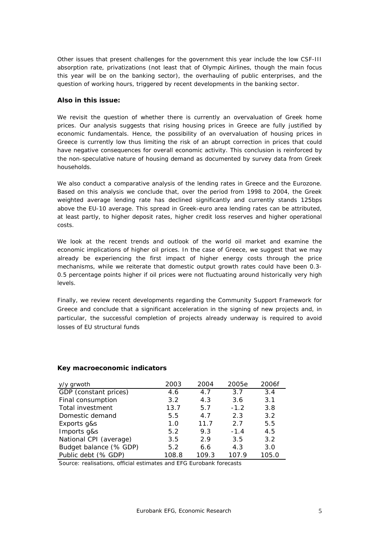Other issues that present challenges for the government this year include the low CSF-III absorption rate, privatizations (not least that of Olympic Airlines, though the main focus this year will be on the banking sector), the overhauling of public enterprises, and the question of working hours, triggered by recent developments in the banking sector.

# **Also in this issue:**

We revisit the question of whether there is currently an overvaluation of Greek home prices. Our analysis suggests that rising housing prices in Greece are fully justified by economic fundamentals. Hence, the possibility of an overvaluation of housing prices in Greece is currently low thus limiting the risk of an abrupt correction in prices that could have negative consequences for overall economic activity. This conclusion is reinforced by the non-speculative nature of housing demand as documented by survey data from Greek households.

We also conduct a comparative analysis of the lending rates in Greece and the Eurozone. Based on this analysis we conclude that, over the period from 1998 to 2004, the Greek weighted average lending rate has declined significantly and currently stands 125bps above the EU-10 average. This spread in Greek-euro area lending rates can be attributed, at least partly, to higher deposit rates, higher credit loss reserves and higher operational costs.

We look at the recent trends and outlook of the world oil market and examine the economic implications of higher oil prices. In the case of Greece, we suggest that we may already be experiencing the first impact of higher energy costs through the price mechanisms, while we reiterate that domestic output growth rates could have been 0.3- 0.5 percentage points higher if oil prices were not fluctuating around historically very high levels.

Finally, we review recent developments regarding the Community Support Framework for Greece and conclude that a significant acceleration in the signing of new projects and, in particular, the successful completion of projects already underway is required to avoid losses of EU structural funds

| y/y grwoth             | 2003  | 2004  | 2005e  | 2006f |
|------------------------|-------|-------|--------|-------|
| GDP (constant prices)  | 4.6   | 4.7   | 3.7    | 3.4   |
| Final consumption      | 3.2   | 4.3   | 3.6    | 3.1   |
| Total investment       | 13.7  | 5.7   | $-1.2$ | 3.8   |
| Domestic demand        | 5.5   | 4.7   | 2.3    | 3.2   |
| Exports g&s            | 1.0   | 11.7  | 2.7    | 5.5   |
| Imports g&s            | 5.2   | 9.3   | $-1.4$ | 4.5   |
| National CPI (average) | 3.5   | 2.9   | 3.5    | 3.2   |
| Budget balance (% GDP) | 5.2   | 6.6   | 4.3    | 3.0   |
| Public debt (% GDP)    | 108.8 | 109.3 | 107.9  | 105.0 |

# **Key macroeconomic indicators**

*Source: realisations, official estimates and EFG Eurobank forecasts*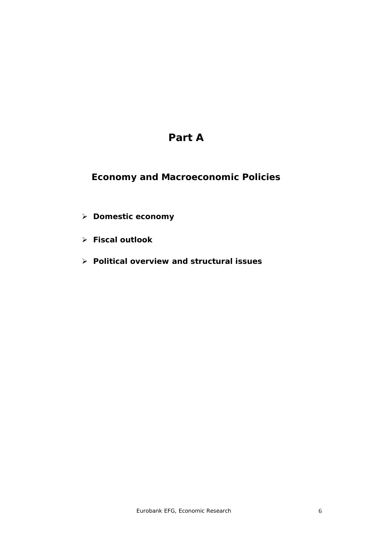# **Part A**

# **Economy and Macroeconomic Policies**

- ¾ **Domestic economy**
- ¾ **Fiscal outlook**
- ¾ **Political overview and structural issues**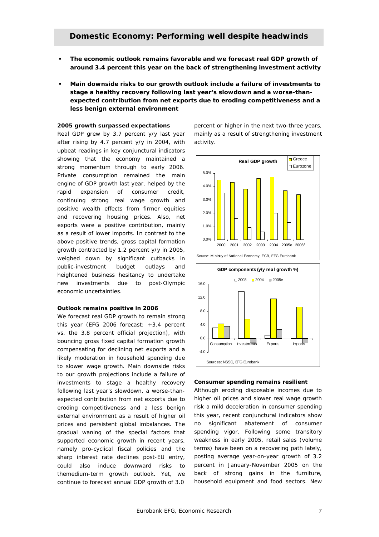- **The economic outlook remains favorable and we forecast real GDP growth of around 3.4 percent this year on the back of strengthening investment activity**
- **Main downside risks to our growth outlook include a failure of investments to stage a healthy recovery following last year's slowdown and a worse-thanexpected contribution from net exports due to eroding competitiveness and a less benign external environment**

# **2005 growth surpassed expectations**

Real GDP grew by 3.7 percent y/y last year after rising by 4.7 percent y/y in 2004, with upbeat readings in key conjunctural indicators showing that the economy maintained a strong momentum through to early 2006. Private consumption remained the main engine of GDP growth last year, helped by the rapid expansion of consumer credit, continuing strong real wage growth and positive wealth effects from firmer equities and recovering housing prices. Also, net exports were a positive contribution, mainly as a result of lower imports. In contrast to the above positive trends, gross capital formation growth contracted by 1.2 percent y/y in 2005, weighed down by significant cutbacks in public-investment budget outlays and heightened business hesitancy to undertake new investments due to post-Olympic economic uncertainties.

#### **Outlook remains positive in 2006**

We forecast real GDP growth to remain strong this year (EFG 2006 forecast: +3.4 percent vs. the 3.8 percent official projection), with bouncing gross fixed capital formation growth compensating for declining net exports and a likely moderation in household spending due to slower wage growth. Main downside risks to our growth projections include a failure of investments to stage a healthy recovery following last year's slowdown, a worse-thanexpected contribution from net exports due to eroding competitiveness and a less benign external environment as a result of higher oil prices and persistent global imbalances. The gradual waning of the special factors that supported economic growth in recent years, namely pro-cyclical fiscal policies and the sharp interest rate declines post-EU entry, could also induce downward risks to themedium-term growth outlook. Yet, we continue to forecast annual GDP growth of 3.0

percent or higher in the next two-three years, mainly as a result of strengthening investment activity.



#### **Consumer spending remains resilient**

Although eroding disposable incomes due to higher oil prices and slower real wage growth risk a mild deceleration in consumer spending this year, recent conjunctural indicators show no significant abatement of consumer spending vigor. Following some transitory weakness in early 2005, retail sales (volume terms) have been on a recovering path lately, posting average year-on-year growth of 3.2 percent in January-November 2005 on the back of strong gains in the furniture, household equipment and food sectors. New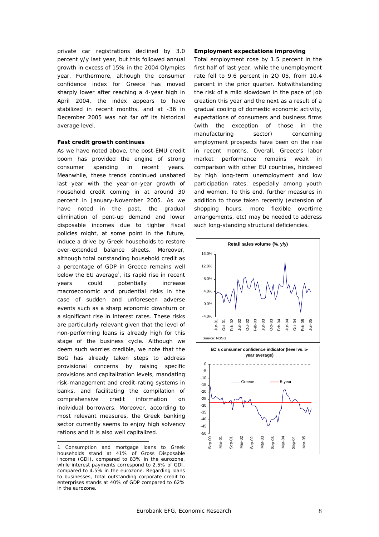private car registrations declined by 3.0 percent y/y last year, but this followed annual growth in excess of 15% in the 2004 Olympics year. Furthermore, although the consumer confidence index for Greece has moved sharply lower after reaching a 4-year high in April 2004, the index appears to have stabilized in recent months, and at -36 in December 2005 was not far off its historical average level.

# **Fast credit growth continues**

As we have noted above, the post-EMU credit boom has provided the engine of strong consumer spending in recent years. Meanwhile, these trends continued unabated last year with the year-on-year growth of household credit coming in at around 30 percent in January-November 2005. As we have noted in the past, the gradual elimination of pent-up demand and lower disposable incomes due to tighter fiscal policies might, at some point in the future, induce a drive by Greek households to restore over-extended balance sheets. Moreover, although total outstanding household credit as a percentage of GDP in Greece remains well below the EU average<sup>1</sup>, its rapid rise in recent years could potentially increase macroeconomic and prudential risks in the case of sudden and unforeseen adverse events such as a sharp economic downturn or a significant rise in interest rates. These risks are particularly relevant given that the level of non-performing loans is already high for this stage of the business cycle. Although we deem such worries credible, we note that the BoG has already taken steps to address provisional concerns by raising specific provisions and capitalization levels, mandating risk-management and credit-rating systems in banks, and facilitating the compilation of comprehensive credit information on individual borrowers. Moreover, according to most relevant measures, the Greek banking sector currently seems to enjoy high solvency rations and it is also well capitalized.

 $\overline{a}$ 

#### **Employment expectations improving**

Total employment rose by 1.5 percent in the first half of last year, while the unemployment rate fell to 9.6 percent in 2Q 05, from 10.4 percent in the prior quarter. Notwithstanding the risk of a mild slowdown in the pace of job creation this year and the next as a result of a gradual cooling of domestic economic activity, expectations of consumers and business firms (with the exception of those in the manufacturing sector) concerning employment prospects have been on the rise in recent months. Overall, Greece's labor market performance remains weak in comparison with other EU countries, hindered by high long-term unemployment and low participation rates, especially among youth and women. To this end, further measures in addition to those taken recently (extension of shopping hours, more flexible overtime arrangements, etc) may be needed to address such long-standing structural deficiencies.



<sup>1</sup> Consumption and mortgage loans to Greek households stand at 41% of Gross Disposable Income (GDI), compared to 83% in the eurozone, while interest payments correspond to 2.5% of GDI, compared to 4.5% in the eurozone. Regarding loans to businesses, total outstanding corporate credit to enterprises stands at 40% of GDP compared to 62% in the eurozone.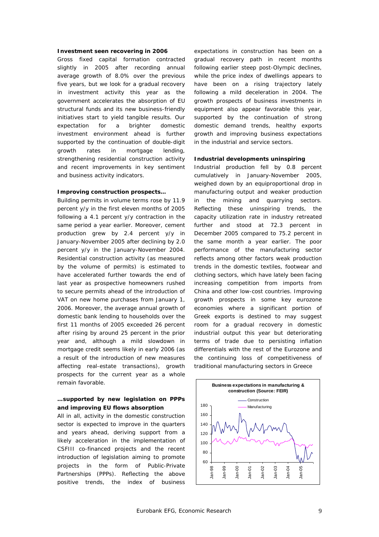#### **Investment seen recovering in 2006**

Gross fixed capital formation contracted slightly in 2005 after recording annual average growth of 8.0% over the previous five years, but we look for a gradual recovery in investment activity this year as the government accelerates the absorption of EU structural funds and its new business-friendly initiatives start to yield tangible results. Our expectation for a brighter domestic investment environment ahead is further supported by the continuation of double-digit growth rates in mortgage lending, strengthening residential construction activity and recent improvements in key sentiment and business activity indicators.

# **Improving construction prospects…**

Building permits in volume terms rose by 11.9 percent y/y in the first eleven months of 2005 following a 4.1 percent y/y contraction in the same period a year earlier. Moreover, cement production grew by 2.4 percent y/y in January-November 2005 after declining by 2.0 percent y/y in the January-November 2004. Residential construction activity (as measured by the volume of permits) is estimated to have accelerated further towards the end of last year as prospective homeowners rushed to secure permits ahead of the introduction of VAT on new home purchases from January 1, 2006. Moreover, the average annual growth of domestic bank lending to households over the first 11 months of 2005 exceeded 26 percent after rising by around 25 percent in the prior year and, although a mild slowdown in mortgage credit seems likely in early 2006 (as a result of the introduction of new measures affecting real-estate transactions), growth prospects for the current year as a whole remain favorable.

# **…supported by new legislation on PPPs and improving EU flows absorption**

All in all, activity in the domestic construction sector is expected to improve in the quarters and years ahead, deriving support from a likely acceleration in the implementation of CSFIII co-financed projects and the recent introduction of legislation aiming to promote projects in the form of Public-Private Partnerships (PPPs). Reflecting the above positive trends, the index of business

expectations in construction has been on a gradual recovery path in recent months following earlier steep post-Olympic declines, while the price index of dwellings appears to have been on a rising trajectory lately following a mild deceleration in 2004. The growth prospects of business investments in equipment also appear favorable this year, supported by the continuation of strong domestic demand trends, healthy exports growth and improving business expectations in the industrial and service sectors.

# **Industrial developments uninspiring**

Industrial production fell by 0.8 percent cumulatively in January-November 2005, weighed down by an equiproportional drop in manufacturing output and weaker production in the mining and quarrying sectors. Reflecting these uninspiring trends, the capacity utilization rate in industry retreated further and stood at 72.3 percent in December 2005 compared to 75.2 percent in the same month a year earlier. The poor performance of the manufacturing sector reflects among other factors weak production trends in the domestic textiles, footwear and clothing sectors, which have lately been facing increasing competition from imports from China and other low-cost countries. Improving growth prospects in some key eurozone economies where a significant portion of Greek exports is destined to may suggest room for a gradual recovery in domestic industrial output this year but deteriorating terms of trade due to persisting inflation differentials with the rest of the Eurozone and the continuing loss of competitiveness of traditional manufacturing sectors in Greece

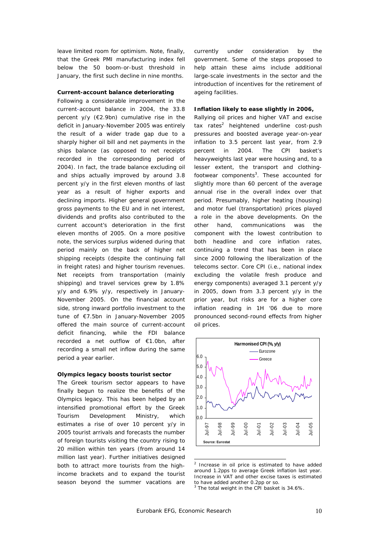leave limited room for optimism. Note, finally, that the Greek PMI manufacturing index fell below the 50 boom-or-bust threshold in January, the first such decline in nine months.

#### **Current-account balance deteriorating**

Following a considerable improvement in the current-account balance in 2004, the 33.8 percent y/y (€2.9bn) cumulative rise in the deficit in January-November 2005 was entirely the result of a wider trade gap due to a sharply higher oil bill and net payments in the ships balance (as opposed to net receipts recorded in the corresponding period of 2004). In fact, the trade balance excluding oil and ships actually improved by around 3.8 percent y/y in the first eleven months of last year as a result of higher exports and declining imports. Higher general government gross payments to the EU and in net interest, dividends and profits also contributed to the current account's deterioration in the first eleven months of 2005. On a more positive note, the services surplus widened during that period mainly on the back of higher net shipping receipts (despite the continuing fall in freight rates) and higher tourism revenues. Net receipts from transportation (mainly shipping) and travel services grew by 1.8% y/y and 6.9% y/y, respectively in January-November 2005. On the financial account side, strong inward portfolio investment to the tune of €7.5bn in January-November 2005 offered the main source of current-account deficit financing, while the FDI balance recorded a net outflow of €1.0bn, after recording a small net inflow during the same period a year earlier.

# **Olympics legacy boosts tourist sector**

The Greek tourism sector appears to have finally begun to realize the benefits of the Olympics legacy. This has been helped by an intensified promotional effort by the Greek Tourism Development Ministry, which estimates a rise of over 10 percent y/y in 2005 tourist arrivals and forecasts the number of foreign tourists visiting the country rising to 20 million within ten years (from around 14 million last year). Further initiatives designed both to attract more tourists from the highincome brackets and to expand the tourist season beyond the summer vacations are currently under consideration by the government. Some of the steps proposed to help attain these aims include additional large-scale investments in the sector and the introduction of incentives for the retirement of ageing facilities.

# **Inflation likely to ease slightly in 2006,**

Rallying oil prices and higher VAT and excise tax rates<sup>2</sup> heightened underline cost-push pressures and boosted average year-on-year inflation to 3.5 percent last year, from 2.9 percent in 2004. The CPI basket's heavyweights last year were housing and, to a lesser extent, the transport and clothingfootwear components<sup>3</sup>. These accounted for slightly more than 60 percent of the average annual rise in the overall index over that period. Presumably, higher heating (housing) and motor fuel (transportation) prices played a role in the above developments. On the other hand, communications was the component with the lowest contribution to both headline and core inflation rates, continuing a trend that has been in place since 2000 following the liberalization of the telecoms sector. Core CPI (i.e., national index excluding the volatile fresh produce and energy components) averaged 3.1 percent y/y in 2005, down from 3.3 percent y/y in the prior year, but risks are for a higher core inflation reading in 1H '06 due to more pronounced second-round effects from higher oil prices.



 2 Increase in oil price is estimated to have added around 1.2pps to average Greek inflation last year. Increase in VAT and other excise taxes is estimated to have added another 0.2pp or so.<br><sup>3</sup> The total weight in the CBL basket.

The total weight in the CPI basket is 34.6%.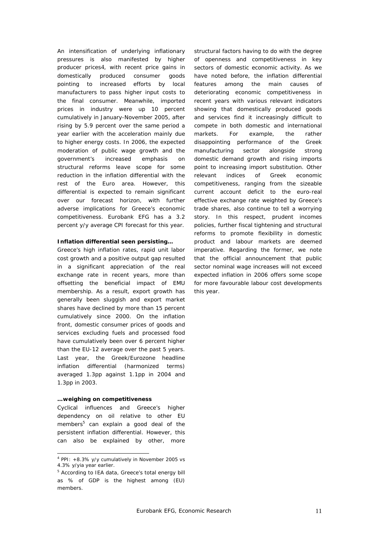An intensification of underlying inflationary pressures is also manifested by higher producer prices4, with recent price gains in domestically produced consumer goods pointing to increased efforts by local manufacturers to pass higher input costs to the final consumer. Meanwhile, imported prices in industry were up 10 percent cumulatively in January-November 2005, after rising by 5.9 percent over the same period a year earlier with the acceleration mainly due to higher energy costs. In 2006, the expected moderation of public wage growth and the government's increased emphasis on structural reforms leave scope for some reduction in the inflation differential with the rest of the Euro area. However, this differential is expected to remain significant over our forecast horizon, with further adverse implications for Greece's economic competitiveness. Eurobank EFG has a 3.2 percent y/y average CPI forecast for this year.

# **Inflation differential seen persisting…**

Greece's high inflation rates, rapid unit labor cost growth and a positive output gap resulted in a significant appreciation of the real exchange rate in recent years, more than offsetting the beneficial impact of EMU membership. As a result, export growth has generally been sluggish and export market shares have declined by more than 15 percent cumulatively since 2000. On the inflation front, domestic consumer prices of goods and services excluding fuels and processed food have cumulatively been over 6 percent higher than the EU-12 average over the past 5 years. Last year, the Greek/Eurozone headline inflation differential (harmonized terms) averaged 1.3pp against 1.1pp in 2004 and 1.3pp in 2003.

# **…weighing on competitiveness**

 $\overline{a}$ 

Cyclical influences and Greece's higher dependency on oil relative to other EU members<sup>5</sup> can explain a good deal of the persistent inflation differential. However, this can also be explained by other, more

structural factors having to do with the degree of openness and competitiveness in key sectors of domestic economic activity. As we have noted before, the inflation differential features among the main causes of deteriorating economic competitiveness in recent years with various relevant indicators showing that domestically produced goods and services find it increasingly difficult to compete in both domestic and international markets. For example, the rather disappointing performance of the Greek manufacturing sector alongside strong domestic demand growth and rising imports point to increasing import substitution. Other relevant indices of Greek economic competitiveness, ranging from the sizeable current account deficit to the euro-real effective exchange rate weighted by Greece's trade shares, also continue to tell a worrying story. In this respect, prudent incomes policies, further fiscal tightening and structural reforms to promote flexibility in domestic product and labour markets are deemed imperative. Regarding the former, we note that the official announcement that public sector nominal wage increases will not exceed expected inflation in 2006 offers some scope for more favourable labour cost developments this year.

 $4$  PPI:  $+8.3\%$  y/y cumulatively in November 2005 vs 4.3% y/yia year earlier.

<sup>&</sup>lt;sup>5</sup> According to IEA data, Greece's total energy bill as % of GDP is the highest among (EU) members.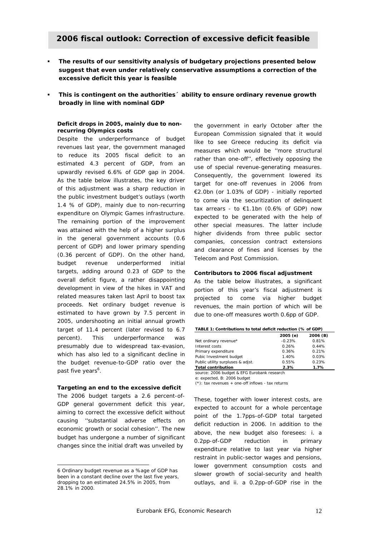# **2006 fiscal outlook: Correction of excessive deficit feasible**

- **The results of our sensitivity analysis of budgetary projections presented below suggest that even under relatively conservative assumptions a correction of the excessive deficit this year is feasible**
- **This is contingent on the authorities´ ability to ensure ordinary revenue growth broadly in line with nominal GDP**

# **Deficit drops in 2005, mainly due to nonrecurring Olympics costs**

Despite the underperformance of budget revenues last year, the government managed to reduce its 2005 fiscal deficit to an estimated 4.3 percent of GDP, from an upwardly revised 6.6% of GDP gap in 2004. As the table below illustrates, the key driver of this adjustment was a sharp reduction in the public investment budget's outlays (worth 1.4 % of GDP), mainly due to non-recurring expenditure on Olympic Games infrastructure. The remaining portion of the improvement was attained with the help of a higher surplus in the general government accounts (0.6 percent of GDP) and lower primary spending (0.36 percent of GDP). On the other hand, budget revenue underperformed initial targets, adding around 0.23 of GDP to the overall deficit figure, a rather disappointing development in view of the hikes in VAT and related measures taken last April to boost tax proceeds. Net ordinary budget revenue is estimated to have grown by 7.5 percent in 2005, undershooting an initial annual growth target of 11.4 percent (later revised to 6.7 percent). This underperformance was presumably due to widespread tax-evasion, which has also led to a significant decline in the budget revenue-to-GDP ratio over the past five years<sup>6</sup>.

# **Targeting an end to the excessive deficit**

The 2006 budget targets a 2.6 percent-of-GDP general government deficit this year, aiming to correct the excessive deficit without causing ''substantial adverse effects on economic growth or social cohesion''. The new budget has undergone a number of significant changes since the initial draft was unveiled by

 $\overline{a}$ 

the government in early October after the European Commission signaled that it would like to see Greece reducing its deficit via measures which would be ''more structural rather than one-off'', effectively opposing the use of special revenue-generating measures. Consequently, the government lowered its target for one-off revenues in 2006 from €2.0bn (or 1.03% of GDP) - initially reported to come via the securitization of delinquent tax arrears - to  $£1.1$ bn (0.6% of GDP) now expected to be generated with the help of other special measures. The latter include higher dividends from three public sector companies, concession contract extensions and clearance of fines and licenses by the Telecom and Post Commission.

# **Contributors to 2006 fiscal adjustment**

As the table below illustrates, a significant portion of this year's fiscal adjustment is projected to come via higher budget revenues, the main portion of which will be due to one-off measures worth 0.6pp of GDP.

#### **TABLE 1: Contributions to total deficit reduction (% of GDP)**

|                                   | 2005 (e) | 2006 (B) |  |
|-----------------------------------|----------|----------|--|
| Net ordinary revenue*             | $-0.23%$ | 0.81%    |  |
| Interest costs                    | 0.26%    | 0.44%    |  |
| Primary expenditure               | 0.36%    | 0.21%    |  |
| Pubic Investment budget           | 1.40%    | 0.03%    |  |
| Public utility surpluses & adjst. | 0.55%    | 0.23%    |  |
| <b>Total contribution</b>         | 2.3%     | 1.7%     |  |
|                                   |          |          |  |

*source: 2006 budget & EFG Eurobank research* 

*e: expected, B: 2006 budget (\*): tax revenues + one-off inflows - tax returns* 

These, together with lower interest costs, are expected to account for a whole percentage point of the 1.7pps-of-GDP total targeted deficit reduction in 2006. In addition to the above, the new budget also foresees: i. a 0.2pp-of-GDP reduction in primary expenditure relative to last year via higher restraint in public-sector wages and pensions, lower government consumption costs and slower growth of social-security and health outlays, and ii. a 0.2pp-of-GDP rise in the

<sup>6</sup> Ordinary budget revenue as a %age of GDP has been in a constant decline over the last five years, dropping to an estimated 24.5% in 2005, from 28.1% in 2000.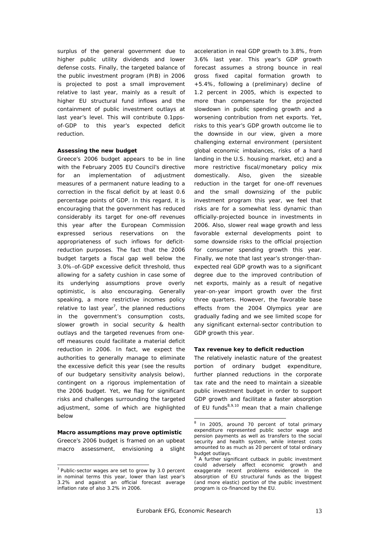surplus of the general government due to higher public utility dividends and lower defense costs. Finally, the targeted balance of the public investment program (PIB) in 2006 is projected to post a small improvement relative to last year, mainly as a result of higher EU structural fund inflows and the containment of public investment outlays at last year's level. This will contribute 0.1ppsof-GDP to this year's expected deficit reduction.

#### **Assessing the new budget**

Greece's 2006 budget appears to be in line with the February 2005 EU Council's directive for an implementation of adjustment measures of a permanent nature leading to a correction in the fiscal deficit by at least 0.6 percentage points of GDP. In this regard, it is encouraging that the government has reduced considerably its target for one-off revenues this year after the European Commission expressed serious reservations on the appropriateness of such inflows for deficitreduction purposes. The fact that the 2006 budget targets a fiscal gap well below the 3.0%-of-GDP excessive deficit threshold, thus allowing for a safety cushion in case some of its underlying assumptions prove overly optimistic, is also encouraging. Generally speaking, a more restrictive incomes policy relative to last year<sup>7</sup>, the planned reductions in the government's consumption costs, slower growth in social security & health outlays and the targeted revenues from oneoff measures could facilitate a material deficit reduction in 2006. In fact, we expect the authorities to generally manage to eliminate the excessive deficit this year (see the results of our budgetary sensitivity analysis below), contingent on a rigorous implementation of the 2006 budget. Yet, we flag for significant risks and challenges surrounding the targeted adjustment, some of which are highlighted below

#### **Macro assumptions may prove optimistic**

Greece's 2006 budget is framed on an upbeat macro assessment, envisioning a slight

 $\overline{a}$ 

acceleration in real GDP growth to 3.8%, from 3.6% last year. This year's GDP growth forecast assumes a strong bounce in real gross fixed capital formation growth to +5.4%, following a (preliminary) decline of 1.2 percent in 2005, which is expected to more than compensate for the projected slowdown in public spending growth and a worsening contribution from net exports. Yet, risks to this year's GDP growth outcome lie to the downside in our view, given a more challenging external environment (persistent global economic imbalances, risks of a hard landing in the U.S. housing market, etc) and a more restrictive fiscal/monetary policy mix domestically. Also, given the sizeable reduction in the target for one-off revenues and the small downsizing of the public investment program this year, we feel that risks are for a somewhat less dynamic than officially-projected bounce in investments in 2006. Also, slower real wage growth and less favorable external developments point to some downside risks to the official projection for consumer spending growth this year. Finally, we note that last year's stronger-thanexpected real GDP growth was to a significant degree due to the improved contribution of net exports, mainly as a result of negative year-on-year import growth over the first three quarters. However, the favorable base effects from the 2004 Olympics year are gradually fading and we see limited scope for any significant external-sector contribution to GDP growth this year.

#### **Tax revenue key to deficit reduction**

The relatively inelastic nature of the greatest portion of ordinary budget expenditure, further planned reductions in the corporate tax rate and the need to maintain a sizeable public investment budget in order to support GDP growth and facilitate a faster absorption of EU funds $8,9,10$  mean that a main challenge

 $7$  Public-sector wages are set to grow by 3.0 percent in nominal terms this year, lower than last year's 3.2% and against an official forecast average inflation rate of also 3.2% in 2006.

 8 In 2005, around 70 percent of total primary expenditure represented public sector wage and pension payments as well as transfers to the social security and health system, while interest costs amounted to as much as 20 percent of total ordinary budget outlays.

<sup>9</sup> A further significant cutback in public investment could adversely affect economic growth and exaggerate recent problems evidenced in the absorption of EU structural funds as the biggest (and more elastic) portion of the public investment program is co-financed by the EU.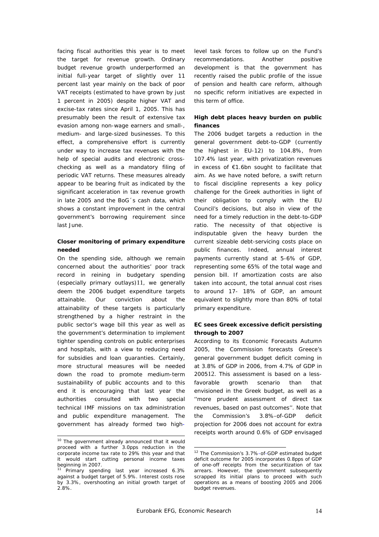facing fiscal authorities this year is to meet the target for revenue growth. Ordinary budget revenue growth underperformed an initial full-year target of slightly over 11 percent last year mainly on the back of poor VAT receipts (estimated to have grown by just 1 percent in 2005) despite higher VAT and excise-tax rates since April 1, 2005. This has presumably been the result of extensive tax evasion among non-wage earners and small-, medium- and large-sized businesses. To this effect, a comprehensive effort is currently under way to increase tax revenues with the help of special audits and electronic crosschecking as well as a mandatory filing of periodic VAT returns. These measures already appear to be bearing fruit as indicated by the significant acceleration in tax revenue growth in late 2005 and the BoG´s cash data, which shows a constant improvement in the central government's borrowing requirement since last June.

# **Closer monitoring of primary expenditure needed**

On the spending side, although we remain concerned about the authorities' poor track record in reining in budgetary spending (especially primary outlays)11, we generally deem the 2006 budget expenditure targets attainable. Our conviction about the attainability of these targets is particularly strengthened by a higher restraint in the public sector's wage bill this year as well as the government's determination to implement tighter spending controls on public enterprises and hospitals, with a view to reducing need for subsidies and loan guaranties. Certainly, more structural measures will be needed down the road to promote medium-term sustainability of public accounts and to this end it is encouraging that last year the authorities consulted with two special technical IMF missions on tax administration and public expenditure management. The government has already formed two high-

 $\overline{a}$ 

level task forces to follow up on the Fund's recommendations. Another positive development is that the government has recently raised the public profile of the issue of pension and health care reform, although no specific reform initiatives are expected in this term of office.

# **High debt places heavy burden on public finances**

The 2006 budget targets a reduction in the general government debt-to-GDP (currently the highest in EU-12) to 104.8%, from 107.4% last year, with privatization revenues in excess of €1.6bn sought to facilitate that aim. As we have noted before, a swift return to fiscal discipline represents a key policy challenge for the Greek authorities in light of their obligation to comply with the EU Council's decisions, but also in view of the need for a timely reduction in the debt-to-GDP ratio. The necessity of that objective is indisputable given the heavy burden the current sizeable debt-servicing costs place on public finances. Indeed, annual interest payments currently stand at 5-6% of GDP, representing some 65% of the total wage and pension bill. If amortization costs are also taken into account, the total annual cost rises to around 17- 18% of GDP, an amount equivalent to slightly more than 80% of total primary expenditure.

# **EC sees Greek excessive deficit persisting through to 2007**

According to its *Economic Forecasts Autumn 2005,* the Commission forecasts Greece's general government budget deficit coming in at 3.8% of GDP in 2006, from 4.7% of GDP in 200512. This assessment is based on a lessfavorable growth scenario than that envisioned in the Greek budget, as well as a ''more prudent assessment of direct tax revenues, based on past outcomes''. Note that the Commission's 3.8%-of-GDP deficit projection for 2006 does not account for extra receipts worth around 0.6% of GDP envisaged

<sup>&</sup>lt;sup>10</sup> The government already announced that it would proceed with a further 3.0pps reduction in the corporate income tax rate to 29% this year and that it would start cutting personal income taxes beginning in 2007.

<sup>&</sup>lt;sup>11</sup> Primary spending last year increased 6.3% against a budget target of 5.9%. Interest costs rose by 3.3%, overshooting an initial growth target of 2.8%.

<sup>12</sup> The Commission's 3.7%-of-GDP estimated budget deficit outcome for 2005 incorporates 0.8pps of GDP of one-off receipts from the securitization of tax arrears. However, the government subsequently scrapped its initial plans to proceed with such operations as a means of boosting 2005 and 2006 budget revenues.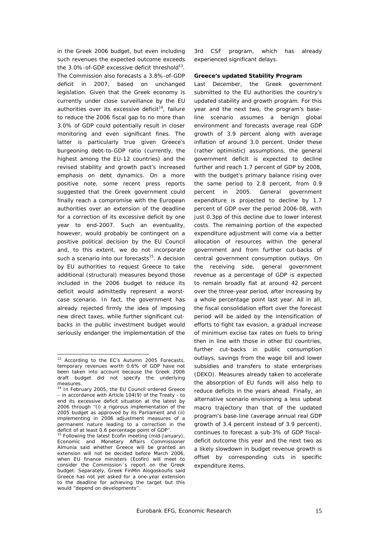in the Greek 2006 budget, but even including such revenues the expected outcome exceeds the  $3.0\%$ -of-GDP excessive deficit threshold<sup>13</sup>. The Commission also forecasts a 3.8%-of-GDP deficit in 2007, based on unchanged legislation. Given that the Greek economy is currently under close surveillance by the EU authorities over its excessive deficit<sup>14</sup>, failure to reduce the 2006 fiscal gap to no more than 3.0% of GDP could potentially result in closer monitoring and even significant fines. The latter is particularly true given Greece's burgeoning debt-to-GDP ratio (currently, the highest among the EU-12 countries) and the revised stability and growth pact's increased emphasis on debt dynamics. On a more positive note, some recent press reports suggested that the Greek government could finally reach a compromise with the European authorities over an extension of the deadline for a correction of its excessive deficit by one year to end-2007. Such an eventuality, however, would probably be contingent on a positive political decision by the EU Council and, to this extent, we do not incorporate such a scenario into our forecasts $15$ . A decision by EU authorities to request Greece to take additional (structural) measures beyond those included in the 2006 budget to reduce its deficit would admittedly represent a worstcase scenario. In fact, the government has already rejected firmly the idea of imposing new direct taxes, while further significant cutbacks in the public investment budget would seriously endanger the implementation of the

 $\overline{a}$ 

3rd CSF program, which has already experienced significant delays.

# **Greece's updated Stability Program**

Last December, the Greek government submitted to the EU authorities the country's updated stability and growth program. For this year and the next two, the program's baseline scenario assumes a benign global environment and forecasts average real GDP growth of 3.9 percent along with average inflation of around 3.0 percent. Under these (rather optimistic) assumptions, the general government deficit is expected to decline further and reach 1.7 percent of GDP by 2008, with the budget's primary balance rising over the same period to 2.8 percent, from 0.9 percent in 2005. General government expenditure is projected to decline by 1.7 percent of GDP over the period 2006-08, with just 0.3pp of this decline due to lower interest costs. The remaining portion of the expected expenditure adjustment will come via a better allocation of resources within the general government and from further cut-backs of central government consumption outlays. On the receiving side, general government revenue as a percentage of GDP is expected to remain broadly flat at around 42 percent over the three-year period, after increasing by a whole percentage point last year. All in all, the fiscal consolidation effort over the forecast period will be aided by the intensification of efforts to fight tax evasion, a gradual increase of minimum excise tax rates on fuels to bring then in line with those in other EU countries, further cut-backs in public consumption outlays, savings from the wage bill and lower subsidies and transfers to state enterprises (DEKO). Measures already taken to accelerate the absorption of EU funds will also help to reduce deficits in the years ahead. Finally, an alternative scenario envisioning a less upbeat macro trajectory than that of the updated program's base-line (average annual real GDP growth of 3.4 percent instead of 3.9 percent), continues to forecast a sub-3% of GDP fiscaldeficit outcome this year and the next two as a likely slowdown in budget revenue growth is offset by corresponding cuts in specific expenditure items.

 $13$  According to the EC's Autumn 2005 Forecasts, temporary revenues worth 0.6% of GDP have not been taken into account because the Greek 2006 draft budget did not specify the underlying

measures.<br><sup>14</sup> In February 2005, the EU Council ordered Greece – in accordance with Article 104(9) of the Treaty - to end its excessive deficit situation at the latest by 2006 through ''(i) a rigorous implementation of the 2005 budget as approved by its Parliament and (ii) implementing in 2006 adjustment measures of a permanent nature leading to a correction in the deficit of at least 0.6 percentage point of GDP"

<sup>&</sup>lt;sup>15</sup> Following the latest Ecofin meeting (mid-January), Economic and Monetary Affairs Commissioner Almunia said whether Greece will be granted an extension will not be decided before March 2006, when EU finance ministers (Ecofin) will meet to consider the Commission´s report on the Greek budget. Separately, Greek FinMin Alogoskoufis said Greece has not yet asked for a one-year extension to the deadline for achieving the target but this would ''depend on developments''.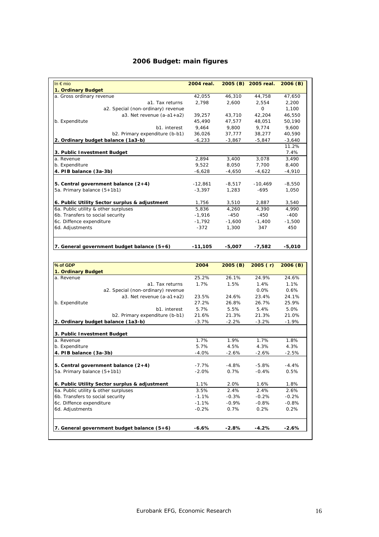# **2006 Budget: main figures**

| In $\epsilon$ mio                             | 2004 real.         |          | 2005 (B) 2005 real. | 2006(B)  |
|-----------------------------------------------|--------------------|----------|---------------------|----------|
| 1. Ordinary Budget                            |                    |          |                     |          |
| a. Gross ordinary revenue                     | 42,055             | 46,310   | 44,758              | 47,650   |
| a1. Tax returns                               | 2,798              | 2,600    | 2,554               | 2,200    |
| a2. Special (non-ordinary) revenue            |                    |          | O                   | 1,100    |
| $a3.$ Net revenue $(a-a1+a2)$                 | 39,257             | 43,710   | 42,204              | 46,550   |
| b. Expenditute                                | 45,490             | 47,577   | 48,051              | 50,190   |
| b1. interest                                  | 9,464              | 9,800    | 9,774               | 9,600    |
| b2. Primary expenditure (b-b1)                | 36,026             | 37,777   | 38,277              | 40,590   |
| 2. Ordinary budget balance (1a3-b)            | $-6,233$           | $-3,867$ | $-5,847$            | $-3,640$ |
|                                               |                    |          |                     | 11.2%    |
| 3. Public Investment Budget                   |                    |          |                     | 7.4%     |
| a. Revenue                                    | $\overline{2,894}$ | 3,400    | 3,078               | 3,490    |
| b. Expenditure                                | 9,522              | 8,050    | 7,700               | 8,400    |
| 4. PIB balance (3a-3b)                        | $-6,628$           | $-4,650$ | $-4,622$            | $-4,910$ |
|                                               |                    |          |                     |          |
| 5. Central government balance $(2+4)$         | $-12,861$          | $-8,517$ | $-10,469$           | $-8,550$ |
| 5a. Primary balance (5+1b1)                   | $-3,397$           | 1,283    | $-695$              | 1,050    |
| 6. Public Utility Sector surplus & adjustment | 1,756              | 3,510    | 2,887               | 3,540    |
| 6a. Public utility & other surpluses          | 5,836              | 4,260    | 4,390               | 4,990    |
| 6b. Transfers to social security              | $-1,916$           | $-450$   | $-450$              | $-400$   |
| 6c. Diffence expenditure                      | $-1,792$           | $-1,600$ | $-1,400$            | $-1,500$ |
| 6d. Adjustments                               | $-372$             | 1,300    | 347                 | 450      |
| 7. General government budget balance (5+6)    | $-11,105$          | $-5,007$ | $-7,582$            | $-5,010$ |
|                                               |                    |          |                     |          |
| % of GDP                                      | 2004               | 2005(B)  | 2005(r)             | 2006(B)  |
| 1. Ordinary Budget                            |                    |          |                     |          |
| a. Revenue                                    | 25.2%              | 26.1%    | 24.9%               | 24.6%    |
| a1. Tax returns                               | 1.7%               | 1.5%     | 1.4%                | 1.1%     |
| a2. Special (non-ordinary) revenue            |                    |          | 0.0%                | 0.6%     |
| a3. Net revenue $(a-a1+a2)$                   | 23.5%              | 24.6%    | 23.4%               | 24.1%    |
| b. Expenditute                                | 27.2%              | 26.8%    | 26.7%               | 25.9%    |
| b1. interest                                  | 5.7%               | 5.5%     | 5.4%                | 5.0%     |
| b2. Primary expenditure (b-b1)                | 21.6%              | 21.3%    | 21.3%               | 21.0%    |
| 2. Ordinary budget balance (1a3-b)            | $-3.7%$            | $-2.2%$  | $-3.2%$             | $-1.9%$  |
| 3. Public Investment Budget                   |                    |          |                     |          |
| a. Revenue                                    | 1.7%               | 1.9%     | 1.7%                | 1.8%     |
| b. Expenditure                                | 5.7%               | 4.5%     | 4.3%                | 4.3%     |

**4. PIB balance (3a-3b)** -4.0% -2.6% -2.6% -2.5% **5. Central government balance (2+4)** -7.7% -4.8% -5.8% -4.4% 5a. Primary balance (5+1b1) -2.0% 0.7% -0.4% 0.5% **6. Public Utility Sector surplus & adjustment** 1.1% 2.0% 1.6% 1.8% 6a. Public utility & other surpluses 3.5% 2.4% 2.4% 2.6% 6b. Transfers to social security -1.1% -0.3% -0.2% -0.2% 6c. Diffence expenditure -1.1% -0.9% -0.8% -0.8% 6d. Adjustments -0.2% 0.7% 0.2% 0.2% 7. General government budget balance (5+6) -6.6% -2.8% -4.2% -2.6%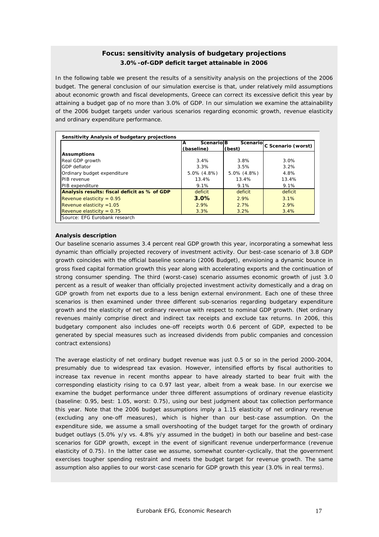# **Focus: sensitivity analysis of budgetary projections**  *3.0%-of-GDP deficit target attainable in 2006*

In the following table we present the results of a sensitivity analysis on the projections of the 2006 budget. The general conclusion of our simulation exercise is that, under relatively mild assumptions about economic growth and fiscal developments, Greece can correct its excessive deficit this year by attaining a budget gap of no more than 3.0% of GDP. In our simulation we examine the attainability of the 2006 budget targets under various scenarios regarding economic growth, revenue elasticity and ordinary expenditure performance.

|                                              | <b>Scenario B</b><br>A |                   | Scenario C Scenario (worst) |
|----------------------------------------------|------------------------|-------------------|-----------------------------|
|                                              | (baseline)             | (best)            |                             |
| <b>Assumptions</b>                           |                        |                   |                             |
| Real GDP growth                              | 3.4%                   | 3.8%              | 3.0%                        |
| GDP deflator                                 | 3.3%                   | 3.5%              | $3.2\%$                     |
| Ordinary budget expenditure                  | $5.0\%$ (4.8%)         | $5.0\%$ $(4.8\%)$ | 4.8%                        |
| PIB revenue                                  | 13.4%                  | 13.4%             | 13.4%                       |
| PIB expenditure                              | $9.1\%$                | $9.1\%$           | 9.1%                        |
| Analysis results: fiscal deficit as % of GDP | deficit                | deficit           | deficit                     |
| Revenue elasticity = $0.95$                  | 3.0%                   | 2.9%              | 3.1%                        |
| Revenue elasticity $=1.05$                   | 2.9%                   | 2.7%              | 2.9%                        |
| Revenue elasticity = $0.75$                  | 3.3%                   | 3.2%              | 3.4%                        |

# **Analysis description**

Our baseline scenario assumes 3.4 percent real GDP growth this year, incorporating a somewhat less dynamic than officially projected recovery of investment activity. Our best-case scenario of 3.8 GDP growth coincides with the official baseline scenario (2006 Budget), envisioning a dynamic bounce in gross fixed capital formation growth this year along with accelerating exports and the continuation of strong consumer spending. The third (worst-case) scenario assumes economic growth of just 3.0 percent as a result of weaker than officially projected investment activity domestically and a drag on GDP growth from net exports due to a less benign external environment. Each one of these three scenarios is then examined under three different sub-scenarios regarding budgetary expenditure growth and the elasticity of net ordinary revenue with respect to nominal GDP growth. (Net ordinary revenues mainly comprise direct and indirect tax receipts and exclude tax returns. In 2006, this budgetary component also includes one-off receipts worth 0.6 percent of GDP, expected to be generated by special measures such as increased dividends from public companies and concession contract extensions)

this year. Note that the 2006 budget assumptions imply a 1.15 elasticity of net ordinary revenue The average elasticity of net ordinary budget revenue was just 0.5 or so in the period 2000-2004, presumably due to widespread tax evasion. However, intensified efforts by fiscal authorities to increase tax revenue in recent months appear to have already started to bear fruit with the corresponding elasticity rising to ca 0.97 last year, albeit from a weak base. In our exercise we examine the budget performance under three different assumptions of ordinary revenue elasticity (baseline: 0.95, best: 1.05, worst: 0.75), using our best judgment about tax collection performance (excluding any one-off measures), which is higher than our best-case assumption. On the expenditure side, we assume a small overshooting of the budget target for the growth of ordinary budget outlays (5.0% y/y vs. 4.8% y/y assumed in the budget) in both our baseline and best-case scenarios for GDP growth, except in the event of significant revenue underperformance (revenue elasticity of 0.75). In the latter case we assume, somewhat counter-cyclically, that the government exercises tougher spending restraint and meets the budget target for revenue growth. The same assumption also applies to our worst-case scenario for GDP growth this year (3.0% in real terms).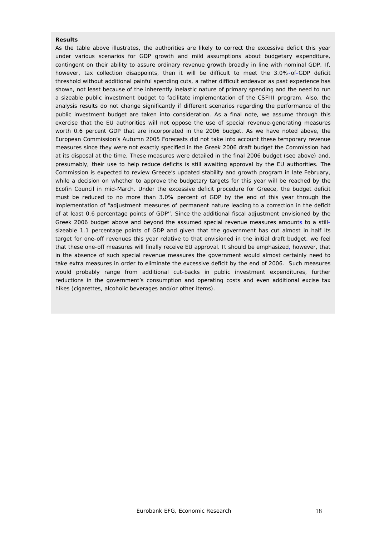#### **Results**

As the table above illustrates, the authorities are likely to correct the excessive deficit this year under various scenarios for GDP growth and mild assumptions about budgetary expenditure, contingent on their ability to assure ordinary revenue growth broadly in line with nominal GDP. If, however, tax collection disappoints, then it will be difficult to meet the 3.0%-of-GDP deficit threshold without additional painful spending cuts, a rather difficult endeavor as past experience has shown, not least because of the inherently inelastic nature of primary spending and the need to run a sizeable public investment budget to facilitate implementation of the CSFIII program. Also, the analysis results do not change significantly if different scenarios regarding the performance of the public investment budget are taken into consideration. As a final note, we assume through this exercise that the EU authorities will not oppose the use of special revenue-generating measures worth 0.6 percent GDP that are incorporated in the 2006 budget. As we have noted above, the European Commission's *Autumn 2005 Forecasts* did not take into account these temporary revenue measures since they were not exactly specified in the Greek 2006 draft budget the Commission had at its disposal at the time. These measures were detailed in the final 2006 budget (see above) and, presumably, their use to help reduce deficits is still awaiting approval by the EU authorities. The Commission is expected to review Greece's updated stability and growth program in late February, while a decision on whether to approve the budgetary targets for this year will be reached by the Ecofin Council in mid-March. Under the excessive deficit procedure for Greece, the budget deficit must be reduced to no more than 3.0% percent of GDP by the end of this year through the implementation of "adjustment measures of permanent nature leading to a correction in the deficit of at least 0.6 percentage points of GDP''. Since the additional fiscal adjustment envisioned by the Greek 2006 budget above and beyond the assumed special revenue measures amounts to a stillsizeable 1.1 percentage points of GDP and given that the government has cut almost in half its target for one-off revenues this year relative to that envisioned in the initial draft budget, we feel that these one-off measures will finally receive EU approval. It should be emphasized, however, that in the absence of such special revenue measures the government would almost certainly need to take extra measures in order to eliminate the excessive deficit by the end of 2006. Such measures would probably range from additional cut-backs in public investment expenditures, further reductions in the government's consumption and operating costs and even additional excise tax hikes (cigarettes, alcoholic beverages and/or other items).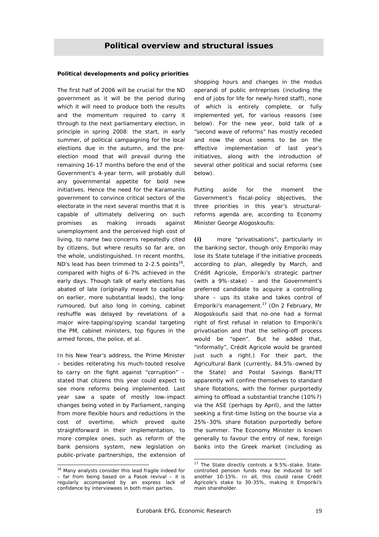# **Political overview and structural issues**

# **Political developments and policy priorities**

The first half of 2006 will be crucial for the ND government as it will be the period during which it will need to produce both the results and the momentum required to carry it through to the next parliamentary election, in principle in spring 2008: the start, in early summer, of political campaigning for the local elections due in the autumn, and the preelection mood that will prevail during the remaining 16-17 months before the end of the Government's 4-year term, will probably dull any governmental appetite for bold new initiatives. Hence the need for the Karamanlis government to convince critical sectors of the electorate in the next several months that it is capable of ultimately delivering on such promises as making inroads against unemployment and the perceived high cost of living, to name two concerns repeatedly cited by citizens, but where results so far are, on the whole, undistinguished. In recent months, ND's lead has been trimmed to 2-2.5 points<sup>16</sup>, compared with highs of 6-7% achieved in the early days. Though talk of early elections has abated of late (originally meant to capitalise on earlier, more substantial leads), the longrumoured, but also long in coming, cabinet reshuffle was delayed by revelations of a major wire-tapping/spying scandal targeting the PM, cabinet ministers, top figures in the armed forces, the police, *et al*.

In his New Year's address, the Prime Minister – besides reiterating his much-touted resolve to carry on the fight against "corruption" – stated that citizens this year could expect to see more reforms being implemented. Last year saw a spate of mostly low-impact changes being voted in by Parliament, ranging from more flexible hours and reductions in the cost of overtime, which proved quite straightforward in their implementation, to more complex ones, such as reform of the bank pensions system, new legislation on public-private partnerships, the extension of

 $\overline{a}$ 

shopping hours and changes in the *modus operandi* of public entreprises (including the end of jobs for life for newly-hired staff), none of which is entirely complete, or fully implemented yet, for various reasons (see below). For the new year, bold talk of a "second wave of reforms" has mostly receded and now the onus seems to be on the effective implementation of last year's initiatives, along with the introduction of several other political and social reforms (see below).

Putting aside for the moment the Government's fiscal-policy objectives, the three priorities in this year's structuralreforms agenda are, according to Economy Minister George Alogoskoufis:

**(i)** more "privatisations", particularly in the banking sector, though only Emporiki may lose its State tutelage if the initiative proceeds according to plan, allegedly by March, and Crédit Agricole, Emporiki's strategic partner (with a 9%-stake) – and the Government's preferred candidate to acquire a controlling share – ups its stake and takes control of Emporiki's management.17 (On 2 February, Mr Alogoskoufis said that no-one had a formal right of first refusal in relation to Emporiki's privatisation and that the selling-off process would be "open". But he added that, "informally", Crédit Agricole would be granted just such a right.) For their part, the Agricultural Bank (currently, 84.5%-owned by the State) and Postal Savings Bank/TT apparently will confine themselves to standard share flotations, with the former purportedly aiming to offload a substantial tranche (10%?) via the ASE (perhaps by April), and the latter seeking a first-time listing on the bourse via a 25%-30% share flotation purportedly before the summer. The Economy Minister is known generally to favour the entry of new, foreign banks into the Greek market (including as

<sup>&</sup>lt;sup>16</sup> Many analysts consider this lead fragile indeed for – far from being based on a Pasok revival – it is regularly accompanied by an express lack of confidence by interviewees in *both* main parties.

<sup>&</sup>lt;sup>17</sup> The State directly controls a 9.5%-stake. Statecontrolled pension funds may be induced to sell another 10-15%. In all, this could raise Crédit Agricole's stake to 30-35%, making it Emporiki's main shareholder.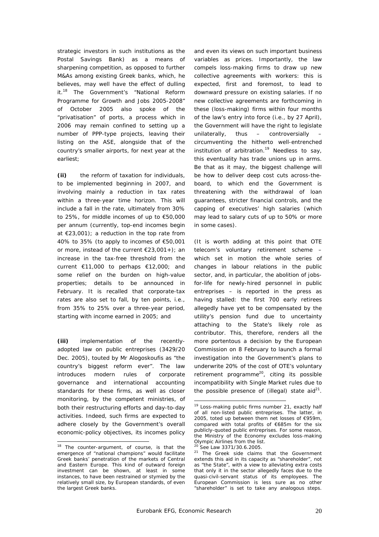strategic investors in such institutions as the Postal Savings Bank) as a means of sharpening competition, as opposed to further M&As among existing Greek banks, which, he believes, may well have the effect of dulling it.<sup>18</sup> The Government's "National Reform Programme for Growth and Jobs 2005-2008" of October 2005 also spoke of the "privatisation" of ports, a process which in 2006 may remain confined to setting up a number of PPP-type projects, leaving their listing on the ASE, alongside that of the country's smaller airports, for next year at the earliest;

**(ii)** the reform of taxation for individuals, to be implemented beginning in 2007, and involving mainly a reduction in tax rates within a three-year time horizon. This will include a fall in the rate, ultimately from 30% to 25%, for middle incomes of up to €50,000 per annum (currently, top-end incomes begin at €23,001); a reduction in the top rate from 40% to 35% (to apply to incomes of €50,001 or more, instead of the current €23,001+); an increase in the tax-free threshold from the current  $€11,000$  to perhaps  $€12,000;$  and some relief on the burden on high-value properties; details to be announced in February. It is recalled that corporate-tax rates are also set to fall, by ten points, *i.e.*, from 35% to 25% over a three-year period, starting with income earned in 2005; and

**(iii)** implementation of the recentlyadopted law on public entreprises (3429/20 Dec. 2005), touted by Mr Alogoskoufis as *"the country's biggest reform ever"*. The law introduces modern rules of corporate governance and international accounting standards for these firms, as well as closer monitoring, by the competent ministries, of both their restructuring efforts and day-to-day activities. Indeed, such firms are expected to adhere closely by the Government's overall economic-policy objectives, its incomes policy

 $\overline{a}$ 

and even its views on such important business variables as prices. Importantly, the law compels loss-making firms to draw up new collective agreements with workers: this is expected, first and foremost, to lead to downward pressure on existing salaries. If no new collective agreements are forthcoming in these (loss-making) firms within four months of the law's entry into force (*i.e.*, by 27 April), the Government will have the right to legislate unilaterally, thus – controversially circumventing the hitherto well-entrenched institution of arbitration.<sup>19</sup> Needless to say, this eventuality has trade unions up in arms. Be that as it may, the biggest challenge will be how to deliver deep cost cuts across-theboard, to which end the Government is threatening with the withdrawal of loan guarantees, stricter financial controls, and the capping of executives' high salaries (which may lead to salary cuts of up to 50% or more in some cases).

(It is worth adding at this point that OTE telecom's voluntary retirement scheme – which set in motion the whole series of changes in labour relations in the public sector, and, in particular, the abolition of jobsfor-life for newly-hired personnel in public entreprises – is reported in the press as having stalled: the first 700 early retirees allegedly have yet to be compensated by the utility's pension fund due to uncertainty attaching to the State's likely role as contributor. This, therefore, renders all the more portentous a decision by the European Commission on 8 February to launch a formal investigation into the Government's plans to underwrite 20% of the cost of OTE's voluntary retirement programme<sup>20</sup>, citing its possible incompatibility with Single Market rules due to the possible presence of (illegal) state aid $^{21}$ .

 $18$  The counter-argument, of course, is that the emergence of "national champions" would facilitate Greek banks' penetration of the markets of Central and Eastern Europe. This kind of outward foreign investment can be shown, at least in some instances, to have been restrained or stymied by the relatively small size, by European standards, of even the largest Greek banks.

<sup>&</sup>lt;sup>19</sup> Loss-making public firms number 21, exactly half of all non-listed public entreprises. The latter, in 2005, toted up between them net losses of €959m, compared with total profits of €685m for the six publicly-quoted public entreprises. For some reason, the Ministry of the Economy excludes loss-making Olympic Airlines from the list.

<sup>&</sup>lt;sup>20</sup> See Law 3371/30.6.2005.<br><sup>21</sup> The Greek side claims that the Government extends this aid in its capacity as "shareholder", not as "the State", with a view to alleviating extra costs that only it in the sector allegedly faces due to the quasi-civil-servant status of its employees. The European Commission is less sure as no other "shareholder" is set to take any analogous steps.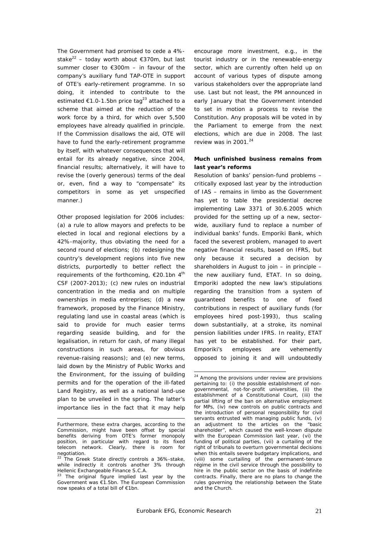The Government had promised to cede a 4% stake<sup>22</sup> – today worth about  $\epsilon$ 370m, but last summer closer to €300m – in favour of the company's auxiliary fund TAP-OTE in support of OTE's early-retirement programme. In so doing, it intended to contribute to the estimated  $\epsilon$ 1.0-1.5bn price tag<sup>23</sup> attached to a scheme that aimed at the reduction of the work force by a third, for which over 5,500 employees have already qualified in principle. If the Commission disallows the aid, OTE will have to fund the early-retirement programme by itself, with whatever consequences that will entail for its already negative, since 2004, financial results; alternatively, it will have to revise the (overly generous) terms of the deal or, even, find a way to "compensate" its competitors in some as yet unspecified manner.)

Other proposed legislation for 2006 includes: (a) a rule to allow mayors and prefects to be elected in local and regional elections by a 42%-majority, thus obviating the need for a second round of elections; (b) redesigning the country's development regions into five new districts, purportedly to better reflect the requirements of the forthcoming,  $\epsilon$ 20.1bn 4<sup>th</sup> CSF (2007-2013); (c) new rules on industrial concentration in the media and on multiple ownerships in media entreprises; (d) a new framework, proposed by the Finance Ministry, regulating land use in coastal areas (which is said to provide for much easier terms regarding seaside building, and for the legalisation, in return for cash, of many illegal constructions in such areas, for obvious revenue-raising reasons); and (e) new terms, laid down by the Ministry of Public Works and the Environment, for the issuing of building permits and for the operation of the ill-fated Land Registry, as well as a national land-use plan to be unveiled in the spring. The latter's importance lies in the fact that it may help

encourage more investment, *e.g.*, in the tourist industry or in the renewable-energy sector, which are currently often held up on account of various types of dispute among various stakeholders over the appropriate land use. Last but not least, the PM announced in early January that the Government intended to set in motion a process to revise the Constitution. Any proposals will be voted in by the Parliament to emerge from the next elections, which are due in 2008. The last review was in 2001. $^{24}$ 

# **Much unfinished business remains from last year's reforms**

Resolution of banks' pension-fund problems – critically exposed last year by the introduction of IAS – remains in limbo as the Government has yet to table the presidential decree implementing Law 3371 of 30.6.2005 which provided for the setting up of a new, sectorwide, auxiliary fund to replace a number of individual banks' funds. Emporiki Bank, which faced the severest problem, managed to avert negative financial results, based on IFRS, but only because it secured a decision by shareholders in August to join – in principle – the new auxiliary fund, ETAT. In so doing, Emporiki adopted the new law's stipulations regarding the transition from a system of guaranteed benefits to one of fixed contributions in respect of auxiliary funds (for employees hired post-1993), thus scaling down substantially, at a stroke, its nominal pension liabilities under IFRS. In reality, ETAT has yet to be established. For their part, Emporiki's employees are vehemently opposed to joining it and will undoubtedly

 $\overline{a}$ Furthermore, these extra charges, according to the Commission, might have been offset by special benefits deriving from OTE's former monopoly position, in particular with regard to its fixed telecom network. Clearly, there is room for negotiation.

The Greek State directly controls a 36%-stake, while indirectly it controls another 3% through Hellenic Exchangeable Finance S.C.A.

 $23$  The original figure implied last year by the Government was €1.5bn. The European Commission now speaks of a total bill of €1bn.

<sup>&</sup>lt;sup>24</sup> Among the provisions under review are provisions pertaining to: (i) the possible establishment of nongovernmental, not-for-profit universities, (ii) the establishment of a Constitutional Court, (iii) the partial lifting of the ban on alternative employment for MPs, (iv) new controls on public contracts and the introduction of personal responsibility for civil servants entrusted with managing public funds, (v) an adjustment to the articles on the "basic shareholder", which caused the well-known dispute with the European Commission last year, (vi) the funding of political parties, (vii) a curtailing of the right of tribunals to overturn governmental decisions when this entails severe budgetary implications, and (viii) some curtailing of the permanent-tenure régime in the civil service through the possibility to hire in the public sector on the basis of indefinite contracts. Finally, there are no plans to change the rules governing the relationship between the State and the Church.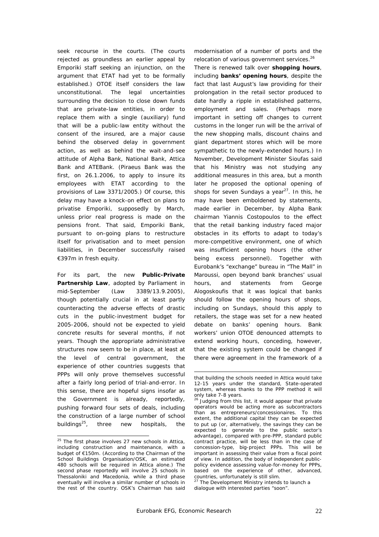seek recourse in the courts. (The courts rejected as groundless an earlier appeal by Emporiki staff seeking an injunction, on the argument that ETAT had yet to be formally established.) OTOE itself considers the law unconstitutional. The legal uncertainties surrounding the decision to close down funds that are private-law entities, in order to replace them with a single (auxiliary) fund that will be a public-law entity without the consent of the insured, are a major cause behind the observed delay in government action, as well as behind the wait-and-see attitude of Alpha Bank, National Bank, Attica Bank and ATEBank. (Piraeus Bank was the first, on 26.1.2006, to apply to insure its employees with ETAT according to the provisions of Law 3371/2005.) Of course, this delay may have a knock-on effect on plans to privatise Emporiki, supposedly by March, unless prior real progress is made on the pensions front. That said, Emporiki Bank, pursuant to on-going plans to restructure itself for privatisation and to meet pension liabilities, in December successfully raised €397m in fresh equity.

For its part, the new **Public-Private Partnership Law**, adopted by Parliament in mid-September (Law 3389/13.9.2005), though potentially crucial in at least partly counteracting the adverse effects of drastic cuts in the public-investment budget for 2005-2006, should not be expected to yield concrete results for several months, if not years. Though the appropriate administrative structures now seem to be in place, at least at the level of central government, the experience of other countries suggests that PPPs will only prove themselves successful after a fairly long period of trial-and-error. In this sense, there are hopeful signs insofar as the Government is already, reportedly, pushing forward four sets of deals, including the construction of a large number of school buildings $^{25}$ , three new hospitals, the

 $\overline{a}$ 

modernisation of a number of ports and the relocation of various government services.<sup>26</sup>

There is renewed talk over **shopping hours**, including **banks' opening hours**, despite the fact that last August's law providing for their prolongation in the retail sector produced to date hardly a ripple in established patterns, employment and sales. (Perhaps more important in setting off changes to current customs in the longer run will be the arrival of the new shopping malls, discount chains and giant department stores which will be more sympathetic to the newly-extended hours.) In November, Development Minister Sioufas said that his Ministry was not studying any additional measures in this area, but a month later he proposed the optional opening of shops for seven Sundays a year $27$ . In this, he may have been emboldened by statements, made earlier in December, by Alpha Bank chairman Yiannis Costopoulos to the effect that the retail banking industry faced major obstacles in its efforts to adapt to today's more-competitive environment, one of which was insufficient opening hours (the other being excess personnel). Together with Eurobank's "exchange" bureau in "The Mall" in Maroussi, open beyond bank branches' usual hours, and statements from George Alogoskoufis that it was logical that banks should follow the opening hours of shops, including on Sundays, should this apply to retailers, the stage was set for a new heated debate on banks' opening hours. Bank workers' union OTOE denounced attempts to extend working hours, conceding, however, that the existing system could be changed if there were agreement in the framework of a

<sup>&</sup>lt;sup>25</sup> The first phase involves 27 new schools in Attica, including construction and maintenance, with a budget of €150m. (According to the Chairman of the School Buildings Organisation/OSK, an estimated 480 schools will be required in Attica alone.) The second phase reportedly will involve 25 schools in Thessaloniki and Macedonia, while a third phase eventually will involve a similar number of schools in the rest of the country. OSK's Chairman has said

that building the schools needed in Attica would take 12-15 years under the standard, State-operated system, whereas thanks to the PPP method it will only take 7-8 years.

 $26$  Judging from this list, it would appear that private operators would be acting more as subcontractors than as entrepreneurs/concessionaires. To this extent, the additional capital they can be expected to put up (or, alternatively, the savings they can be expected to generate to the public sector's advantage), compared with pre-PPP, standard public contract practice, will be less than in the case of concession-type, big-project PPPs. This will be important in assessing their value from a fiscal point of view. In addition, the body of independent publicpolicy evidence assessing value-for-money for PPPs, based on the experience of other, advanced, countries, unfortunately is still slim.

<sup>&</sup>lt;sup>27</sup> The Development Ministry intends to launch a dialogue with interested parties "soon".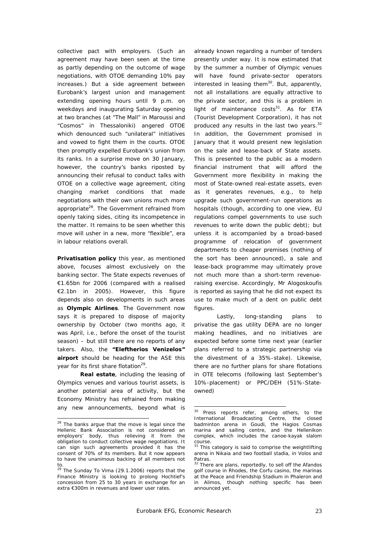collective pact with employers. (Such an agreement may have been seen at the time as partly depending on the outcome of wage negotiations, with OTOE demanding 10% pay increases.) But a side agreement between Eurobank's largest union and management extending opening hours until 9 p.m. on weekdays and inaugurating Saturday opening at two branches (at "The Mall" in Maroussi and "Cosmos" in Thessaloniki) angered OTOE which denounced such "unilateral" initiatives and vowed to fight them in the courts. OTOE then promptly expelled Eurobank's union from its ranks. In a surprise move on 30 January, however, the country's banks riposted by announcing their refusal to conduct talks with OTOE on a collective wage agreement, citing changing market conditions that made negotiations with their own unions much more appropriate<sup>28</sup>. The Government refrained from openly taking sides, citing its incompetence in the matter. It remains to be seen whether this move will usher in a new, more "flexible", era in labour relations overall.

**Privatisation policy** this year, as mentioned above, focuses almost exclusively on the banking sector. The State expects revenues of €1.65bn for 2006 (compared with a realised €2.1bn in 2005). However, this figure depends also on developments in such areas as **Olympic Airlines**. The Government now says it is prepared to dispose of majority ownership by October (two months ago, it was April, *i.e.*, before the onset of the tourist season) – but still there are no reports of any takers. Also, the **"Eleftherios Venizelos" airport** should be heading for the ASE this year for its first share flotation<sup>29</sup>.

**Real estate**, including the leasing of Olympics venues and various tourist assets, is another potential area of activity, but the Economy Ministry has refrained from making any new announcements, beyond what is

 $\overline{a}$ 

already known regarding a number of tenders presently under way. It is now estimated that by the summer a number of Olympic venues will have found private-sector operators interested in leasing them $30$ . But, apparently, not all installations are equally attractive to the private sector, and this is a problem in light of maintenance  $costs<sup>31</sup>$ . As for ETA (Tourist Development Corporation), it has not produced any results in the last two years. $32$ In addition, the Government promised in January that it would present new legislation on the sale and lease-back of State assets. This is presented to the public as a modern financial instrument that will afford the Government more flexibility in making the most of State-owned real-estate assets, even as it generates revenues, *e.g.*, to help upgrade such government-run operations as hospitals (though, according to one view, EU regulations compel governments to use such revenues to write down the public debt); but unless it is accompanied by a broad-based programme of relocation of government departments to cheaper premises (nothing of the sort has been announced), a sale and lease-back programme may ultimately prove not much more than a short-term revenueraising exercise. Accordingly, Mr Alogoskoufis is reported as saying that he did not expect its use to make much of a dent on public debt figures.

Lastly, long-standing plans to privatise the gas utility DEPA are no longer making headlines, and no initiatives are expected before some time next year (earlier plans referred to a strategic partnership via the divestment of a 35%-stake). Likewise, there are no further plans for share flotations in OTE telecoms (following last September's 10%-placement) or PPC/DEH (51%-Stateowned)

<sup>&</sup>lt;sup>28</sup> The banks argue that the move is legal since the Hellenic Bank Association is not considered an employers' body, thus relieving it from the obligation to conduct collective wage negotiations. It can sign such agreements provided it has the consent of 70% of its members. But it now appears to have the unanimous backing of all members *not*  to.

<sup>29</sup> The Sunday *To Vima* (29.1.2006) reports that the Finance Ministry is looking to prolong Hochtief's concession from 25 to 30 years in exchange for an extra €300m in revenues and lower user rates.

<sup>&</sup>lt;sup>30</sup> Press reports refer, among others, to the International Broadcasting Centre, the closed badminton arena in Goudi, the Hagios Cosmas marina and sailing centre, and the Hellenikon complex, which includes the canoe-kayak slalom

course.<br><sup>31</sup> This category is said to comprise the weightlifting arena in Nikaia and two football stadia, in Volos and Patras.

There are plans, reportedly, to sell off the Afandos golf course in Rhodes, the Corfu casino, the marinas at the Peace and Friendship Stadium in Phaleron and in Alimos, though nothing specific has been announced yet.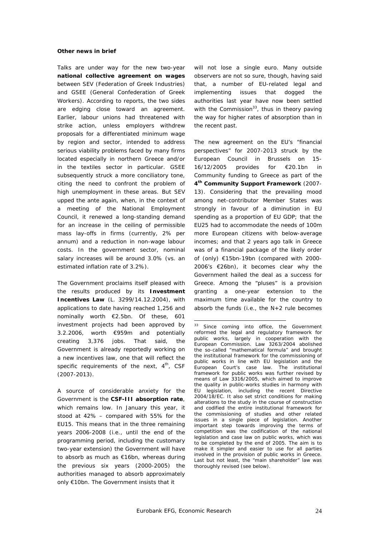#### **Other news in brief**

Talks are under way for the new two-year **national collective agreement on wages** between SEV (Federation of Greek Industries) and GSEE (General Confederation of Greek Workers). According to reports, the two sides are edging close toward an agreement. Earlier, labour unions had threatened with strike action, unless employers withdrew proposals for a differentiated minimum wage by region and sector, intended to address serious viability problems faced by many firms located especially in northern Greece and/or in the textiles sector in particular. GSEE subsequently struck a more conciliatory tone, citing the need to confront the problem of high unemployment in these areas. But SEV upped the ante again, when, in the context of a meeting of the National Employment Council, it renewed a long-standing demand for an increase in the ceiling of permissible mass lay-offs in firms (currently, 2% per annum) and a reduction in non-wage labour costs. In the government sector, nominal salary increases will be around 3.0% (*vs.* an estimated inflation rate of 3.2%).

The Government proclaims itself pleased with the results produced by its **Investment Incentives Law** (L. 3299/14.12.2004), with applications to date having reached 1,256 and nominally worth €2.5bn. Of these, 601 investment projects had been approved by 3.2.2006, worth €959m and potentially creating 3,376 jobs. That said, the Government is already reportedly working on a new incentives law, one that will reflect the specific requirements of the next,  $4^{\text{th}}$ , CSF (2007-2013).

A source of considerable anxiety for the Government is the **CSF-III absorption rate**, which remains low. In January this year, it stood at 42% – compared with 55% for the EU15. This means that in the three remaining years 2006-2008 (*i.e.*, until the end of the programming period, including the customary two-year extension) the Government will have to absorb as much as €16bn, whereas during the previous six years (2000-2005) the authorities managed to absorb approximately only €10bn. The Government insists that it

will not lose a single euro. Many outside observers are not so sure, though, having said that, a number of EU-related legal and implementing issues that dogged the authorities last year have now been settled with the Commission $33$ , thus in theory paying the way for higher rates of absorption than in the recent past.

The new agreement on the EU's "financial perspectives" for 2007-2013 struck by the European Council in Brussels on 15- 16/12/2005 provides for €20.1bn in Community funding to Greece as part of the **4th Community Support Framework** (2007- 13). Considering that the prevailing mood among net-contributor Member States was strongly in favour of a diminution in EU spending as a proportion of EU GDP; that the EU25 had to accommodate the needs of 100m more European citizens with below-average incomes; and that 2 years ago talk in Greece was of a financial package of the likely order of (only) €15bn-19bn (compared with 2000- 2006's €26bn), it becomes clear why the Government hailed the deal as a success for Greece. Among the "pluses" is a provision granting a one-year extension to the maximum time available for the country to absorb the funds (*i.e.*, the N+2 rule becomes

<sup>&</sup>lt;sup>33</sup> Since coming into office, the Government reformed the legal and regulatory framework for public works, largely in cooperation with the European Commission. Law 3263/2004 abolished the so-called "mathematical formula" and brought the institutional framework for the commissioning of public works in line with EU legislation and the European Court's case law. The institutional framework for public works was further revised by means of Law 3316/2005, which aimed to improve the quality in public-works studies in harmony with EU legislation, including the recent Directive 2004/18/EC. It also set strict conditions for making alterations to the study in the course of construction and codified the entire institutional framework for the commissioning of studies and other related issues in a single piece of legislation. Another important step towards improving the terms of competition was the codification of the national legislation and case law on public works, which was to be completed by the end of 2005. The aim is to make it simpler and easier to use for all parties involved in the provision of public works in Greece. Last but not least, the "main shareholder" law was thoroughly revised (see below).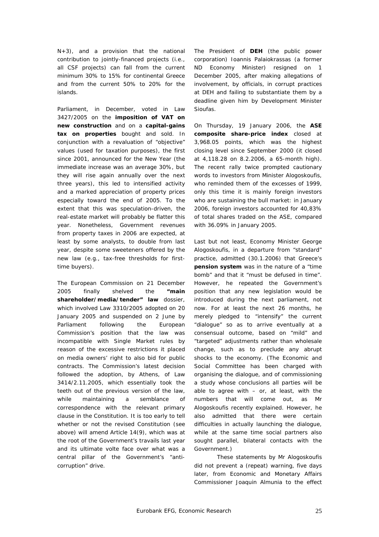N+3), and a provision that the national contribution to jointly-financed projects (*i.e.*, all CSF projects) can fall from the current minimum 30% to 15% for continental Greece and from the current 50% to 20% for the islands.

Parliament, in December, voted in Law 3427/2005 on the **imposition of VAT on new construction** and on a **capital-gains tax on properties** bought and sold. In conjunction with a revaluation of "objective" values (used for taxation purposes), the first since 2001, announced for the New Year (the immediate increase was an average 30%, but they will rise again annually over the next three years), this led to intensified activity and a marked appreciation of property prices especially toward the end of 2005. To the extent that this was speculation-driven, the real-estate market will probably be flatter this year. Nonetheless, Government revenues from property taxes in 2006 are expected, at least by some analysts, to double from last year, despite some sweeteners offered by the new law (*e.g.*, tax-free thresholds for firsttime buyers).

The European Commission on 21 December 2005 finally shelved the **"main shareholder/media/tender" law** dossier, which involved Law 3310/2005 adopted on 20 January 2005 and suspended on 2 June by Parliament following the European Commission's position that the law was incompatible with Single Market rules by reason of the excessive restrictions it placed on media owners' right to also bid for public contracts. The Commission's latest decision followed the adoption, by Athens, of Law 3414/2.11.2005, which essentially took the teeth out of the previous version of the law, while maintaining a semblance of correspondence with the relevant primary clause in the Constitution. It is too early to tell whether or not the revised Constitution (see above) will amend Article 14(9), which was at the root of the Government's travails last year and its ultimate *volte face* over what was a central pillar of the Government's "anticorruption" drive.

The President of **DEH** (the public power corporation) Ioannis Palaiokrassas (a former ND Economy Minister) resigned on 1 December 2005, after making allegations of involvement, by officials, in corrupt practices at DEH and failing to substantiate them by a deadline given him by Development Minister Sioufas.

On Thursday, 19 January 2006, the **ASE composite share-price index** closed at 3,968.05 points, which was the highest closing level since September 2000 (it closed at 4,118.28 on 8.2.2006, a 65-month high). The recent rally twice prompted cautionary words to investors from Minister Alogoskoufis, who reminded them of the excesses of 1999, only this time it is mainly foreign investors who are sustaining the bull market: in January 2006, foreign investors accounted for 40,83% of total shares traded on the ASE, compared with 36.09% in January 2005.

Last but not least, Economy Minister George Alogoskoufis, in a departure from "standard" practice, admitted (30.1.2006) that Greece's **pension system** was in the nature of a "*time bomb*" and that it "*must be defused in time*". However, he repeated the Government's position that any new legislation would be introduced during the next parliament, not now. For at least the next 26 months, he merely pledged to "*intensify*" the current "*dialogue*" so as to arrive eventually at a consensual outcome, based on "*mild*" and "*targeted*" adjustments rather than wholesale change, such as to preclude any abrupt shocks to the economy. (The Economic and Social Committee has been charged with organising the dialogue, and of commissioning a study whose conclusions all parties will be able to agree with  $-$  or, at least, with the numbers that will come out, as Mr Alogoskoufis recently explained. However, he also admitted that there were certain difficulties in actually launching the dialogue, while at the same time social partners also sought parallel, bilateral contacts with the Government.)

 These statements by Mr Alogoskoufis did not prevent a (repeat) warning, five days later, from Economic and Monetary Affairs Commissioner Joaquin Almunia to the effect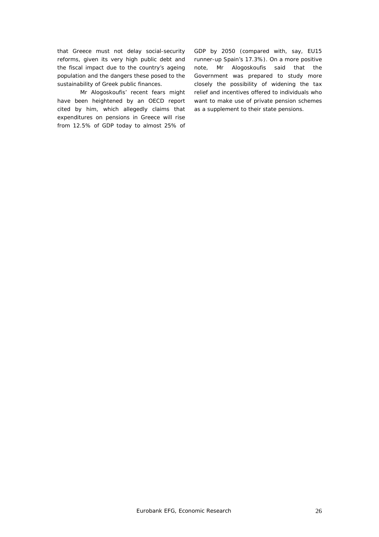that Greece must not delay social-security reforms, given its very high public debt and the fiscal impact due to the country's ageing population and the dangers these posed to the sustainability of Greek public finances.

Mr Alogoskoufis' recent fears might have been heightened by an OECD report cited by him, which allegedly claims that expenditures on pensions in Greece will rise from 12.5% of GDP today to almost 25% of GDP by 2050 (compared with, say, EU15 runner-up Spain's 17.3%). On a more positive note, Mr Alogoskoufis said that the Government was prepared to study more closely the possibility of widening the tax relief and incentives offered to individuals who want to make use of private pension schemes as a supplement to their state pensions.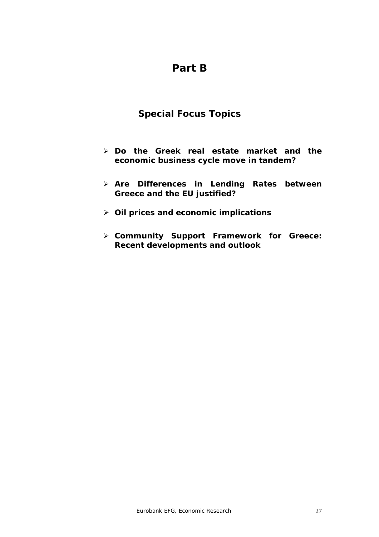# **Part B**

# **Special Focus Topics**

- ¾ **Do the Greek real estate market and the economic business cycle move in tandem?**
- ¾ **Are Differences in Lending Rates between Greece and the EU justified?**
- ¾ **Oil prices and economic implications**
- ¾ **Community Support Framework for Greece: Recent developments and outlook**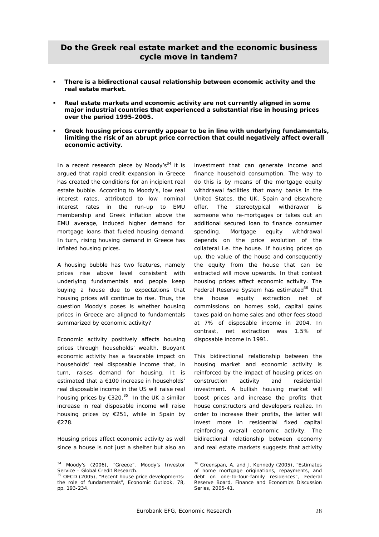# **Do the Greek real estate market and the economic business cycle move in tandem?**

- **There is a bidirectional causal relationship between economic activity and the real estate market.**
- **Real estate markets and economic activity are not currently aligned in some major industrial countries that experienced a substantial rise in housing prices over the period 1995-2005.**
- **Greek housing prices currently appear to be in line with underlying fundamentals, limiting the risk of an abrupt price correction that could negatively affect overall economic activity.**

In a recent research piece by Moody's $34$  it is argued that rapid credit expansion in Greece has created the conditions for an incipient real estate bubble. According to Moody's, low real interest rates, attributed to low nominal interest rates in the run-up to EMU membership and Greek inflation above the EMU average, induced higher demand for mortgage loans that fueled housing demand. In turn, rising housing demand in Greece has inflated housing prices.

A housing bubble has two features, namely prices rise above level consistent with underlying fundamentals and people keep buying a house due to expectations that housing prices will continue to rise. Thus, the question Moody's poses is whether housing prices in Greece are aligned to fundamentals summarized by economic activity?

Economic activity positively affects housing prices through households' wealth. Buoyant economic activity has a favorable impact on households' real disposable income that, in turn, raises demand for housing. It is estimated that a €100 increase in households' real disposable income in the US will raise real housing prices by  $\epsilon$ 320.<sup>35</sup> In the UK a similar increase in real disposable income will raise housing prices by €251, while in Spain by €278.

Housing prices affect economic activity as well since a house is not just a shelter but also an

 $\overline{a}$ 

investment that can generate income and finance household consumption. The way to do this is by means of the mortgage equity withdrawal facilities that many banks in the United States, the UK, Spain and elsewhere offer. The stereotypical withdrawer is someone who re-mortgages or takes out an additional secured loan to finance consumer spending. Mortgage equity withdrawal depends on the price evolution of the collateral i.e. the house. If housing prices go up, the value of the house and consequently the equity from the house that can be extracted will move upwards. In that context housing prices affect economic activity. The Federal Reserve System has estimated<sup>36</sup> that the house equity extraction net of commissions on homes sold, capital gains taxes paid on home sales and other fees stood at 7% of disposable income in 2004. In contrast, net extraction was 1.5% of disposable income in 1991.

This bidirectional relationship between the housing market and economic activity is reinforced by the impact of housing prices on construction activity and residential investment. A bullish housing market will boost prices and increase the profits that house constructors and developers realize. In order to increase their profits, the latter will invest more in residential fixed capital reinforcing overall economic activity. The bidirectional relationship between economy and real estate markets suggests that activity

<sup>&</sup>lt;sup>34</sup> Moody's (2006), "Greece", Moody's Investor Service – Global Credit Research.

 $35$  OECD (2005), "Recent house price developments: the role of fundamentals", Economic Outlook, 78, pp. 193-234.

<sup>&</sup>lt;sup>36</sup> Greenspan, A. and J. Kennedy (2005), "Estimates of home mortgage originations, repayments, and debt on one-to-four-family residences", Federal Reserve Board, Finance and Economics Discussion Series, 2005-41.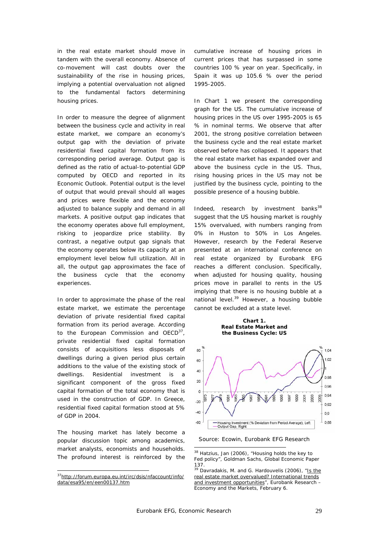in the real estate market should move in tandem with the overall economy. Absence of co-movement will cast doubts over the sustainability of the rise in housing prices, implying a potential overvaluation not aligned to the fundamental factors determining housing prices.

In order to measure the degree of alignment between the business cycle and activity in real estate market, we compare an economy's output gap with the deviation of private residential fixed capital formation from its corresponding period average. Output gap is defined as the ratio of actual-to-potential GDP computed by OECD and reported in its *Economic Outlook.* Potential output is the level of output that would prevail should all wages and prices were flexible and the economy adjusted to balance supply and demand in all markets. A positive output gap indicates that the economy operates above full employment, risking to jeopardize price stability. By contrast, a negative output gap signals that the economy operates below its capacity at an employment level below full utilization. All in all, the output gap approximates the face of the business cycle that the economy experiences.

In order to approximate the phase of the real estate market, we estimate the percentage deviation of private residential fixed capital formation from its period average. According to the European Commission and  $OECD<sup>37</sup>$ , private residential fixed capital formation consists of acquisitions less disposals of dwellings during a given period plus certain additions to the value of the existing stock of dwellings. Residential investment is a significant component of the gross fixed capital formation of the total economy that is used in the construction of GDP. In Greece, residential fixed capital formation stood at 5% of GDP in 2004.

The housing market has lately become a popular discussion topic among academics, market analysts, economists and households. The profound interest is reinforced by the cumulative increase of housing prices in current prices that has surpassed in some countries 100 % year on year. Specifically, in Spain it was up 105.6 % over the period 1995-2005.

In Chart 1 we present the corresponding graph for the US. The cumulative increase of housing prices in the US over 1995-2005 is 65 % in nominal terms. We observe that after 2001, the strong positive correlation between the business cycle and the real estate market observed before has collapsed. It appears that the real estate market has expanded over and above the business cycle in the US. Thus, rising housing prices in the US may not be justified by the business cycle, pointing to the possible presence of a housing bubble.

Indeed, research by investment banks $^{38}$ suggest that the US housing market is roughly 15% overvalued, with numbers ranging from 0% in Huston to 50% in Los Angeles. However, research by the Federal Reserve presented at an international conference on real estate organized by Eurobank EFG reaches a different conclusion. Specifically, when adjusted for housing quality, housing prices move in parallel to rents in the US implying that there is no housing bubble at a national level.<sup>39</sup> However, a housing bubble cannot be excluded at a state level.

#### **Real Estate Market and Chart 1. the Business Cycle: US**



Source: Ecowin, Eurobank EFG Research

 $\overline{a}$ 37http://forum.europa.eu.int/irc/dsis/nfaccount/info/ data/esa95/en/een00137.htm

 $38$  Hatzius, Jan (2006), "Housing holds the key to Fed policy", Goldman Sachs, Global Economic Paper 137.

<sup>&</sup>lt;sup>39</sup> Davradakis, M. and G. Hardouvelis (2006), "Is the real estate market overvalued? International trends and investment opportunities", Eurobank Research -Economy and the Markets, February 6.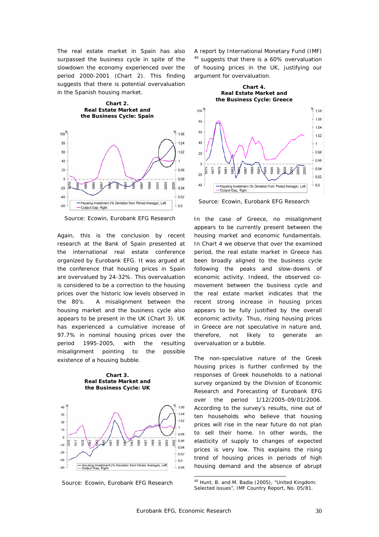The real estate market in Spain has also surpassed the business cycle in spite of the slowdown the economy experienced over the period 2000-2001 (Chart 2). This finding suggests that there is potential overvaluation in the Spanish housing market.

**Chart 2. Real Estate Market and the Business Cycle: Spain** 



Source: Ecowin, Eurobank EFG Research

Again, this is the conclusion by recent research at the Bank of Spain presented at the international real estate conference organized by Eurobank EFG. It was argued at the conference that housing prices in Spain are overvalued by 24-32%. This overvaluation is considered to be a correction to the housing prices over the historic low levels observed in the 80's. A misalignment between the housing market and the business cycle also appears to be present in the UK (Chart 3). UK has experienced a cumulative increase of 97.7% in nominal housing prices over the period 1995-2005, with the resulting misalignment pointing to the possible existence of a housing bubble.

**Chart 3. Real Estate Market and the Business Cycle: UK** 



Source: Ecowin, Eurobank EFG Research

A report by International Monetary Fund (IMF)  $40$  suggests that there is a 60% overvaluation of housing prices in the UK, justifying our argument for overvaluation.

**Chart 4.** 



Source: Ecowin, Eurobank EFG Research

In the case of Greece, no misalignment appears to be currently present between the housing market and economic fundamentals. In Chart 4 we observe that over the examined period, the real estate market in Greece has been broadly aligned to the business cycle following the peaks and slow-downs of economic activity. Indeed, the observed comovement between the business cycle and the real estate market indicates that the recent strong increase in housing prices appears to be fully justified by the overall economic activity. Thus, rising housing prices in Greece are not speculative in nature and, therefore, not likely to generate an overvaluation or a bubble.

The non-speculative nature of the Greek housing prices is further confirmed by the responses of Greek households to a national survey organized by the Division of Economic Research and Forecasting of Eurobank EFG over the period 1/12/2005-09/01/2006. According to the survey's results, nine out of ten households who believe that housing prices will rise in the near future do not plan to sell their home. In other words, the elasticity of supply to changes of expected prices is very low. This explains the rising trend of housing prices in periods of high housing demand and the absence of abrupt

<sup>40</sup> Hunt, B. and M. Badia (2005), "United Kingdom: Selected issues", IMF Country Report, No. 05/81.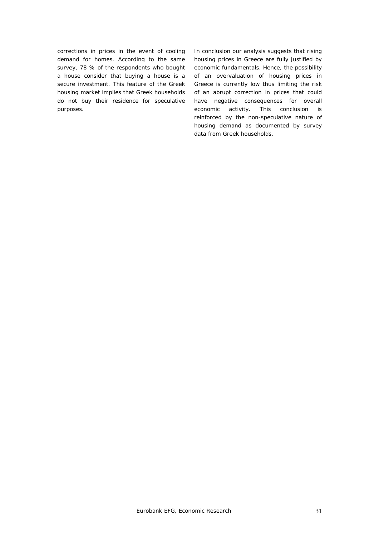corrections in prices in the event of cooling demand for homes. According to the same survey, 78 % of the respondents who bought a house consider that buying a house is a secure investment. This feature of the Greek housing market implies that Greek households do not buy their residence for speculative purposes.

In conclusion our analysis suggests that rising housing prices in Greece are fully justified by economic fundamentals. Hence, the possibility of an overvaluation of housing prices in Greece is currently low thus limiting the risk of an abrupt correction in prices that could have negative consequences for overall economic activity. This conclusion is reinforced by the non-speculative nature of housing demand as documented by survey data from Greek households.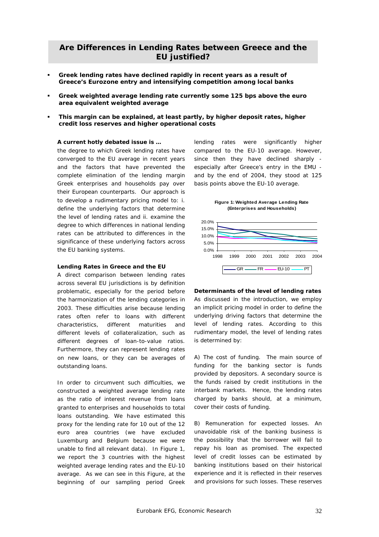# **Are Differences in Lending Rates between Greece and the EU justified?**

- **Greek lending rates have declined rapidly in recent years as a result of Greece's Eurozone entry and intensifying competition among local banks**
- **Greek weighted average lending rate currently some 125 bps above the euro area equivalent weighted average**
- **This margin can be explained, at least partly, by higher deposit rates, higher credit loss reserves and higher operational costs**

# **A current hotly debated issue is …**

the degree to which Greek lending rates have converged to the EU average in recent years and the factors that have prevented the complete elimination of the lending margin Greek enterprises and households pay over their European counterparts. Our approach is to develop a rudimentary pricing model to: i. define the underlying factors that determine the level of lending rates and ii. examine the degree to which differences in national lending rates can be attributed to differences in the significance of these underlying factors across the EU banking systems.

#### **Lending Rates in Greece and the EU**

A direct comparison between lending rates across several EU jurisdictions is by definition problematic, especially for the period before the harmonization of the lending categories in 2003. These difficulties arise because lending rates often refer to loans with different characteristics, different maturities and different levels of collateralization, such as different degrees of loan-to-value ratios. Furthermore, they can represent lending rates on new loans, or they can be averages of outstanding loans.

In order to circumvent such difficulties, we constructed a weighted average lending rate as the ratio of interest revenue from loans granted to enterprises and households to total loans outstanding. We have estimated this proxy for the lending rate for 10 out of the 12 euro area countries (we have excluded Luxemburg and Belgium because we were unable to find all relevant data). In Figure 1, we report the 3 countries with the highest weighted average lending rates and the EU-10 average. As we can see in this Figure, at the beginning of our sampling period Greek

lending rates were significantly higher compared to the EU-10 average. However, since then they have declined sharply especially after Greece's entry in the EMU and by the end of 2004, they stood at 125 basis points above the EU-10 average.

**Figure 1: Weighted Average Lending Rate (Enterprises and Households)**



**Determinants of the level of lending rates**  As discussed in the introduction, we employ an implicit pricing model in order to define the underlying driving factors that determine the level of lending rates. According to this rudimentary model, the level of lending rates is determined by:

A) *The cost of funding*. The main source of funding for the banking sector is funds provided by depositors. A secondary source is the funds raised by credit institutions in the interbank markets. Hence, the lending rates charged by banks should, at a minimum, cover their costs of funding.

B) *Remuneration for expected losses*. An unavoidable risk of the banking business is the possibility that the borrower will fail to repay his loan as promised. The expected level of credit losses can be estimated by banking institutions based on their historical experience and it is reflected in their reserves and provisions for such losses. These reserves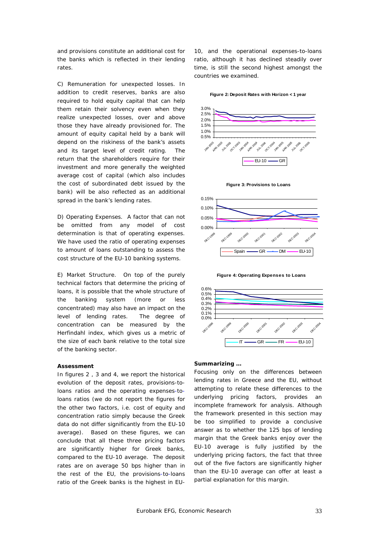and provisions constitute an additional cost for the banks which is reflected in their lending rates.

C) *Remuneration for unexpected losses*. In addition to credit reserves, banks are also required to hold equity capital that can help them retain their solvency even when they realize unexpected losses, over and above those they have already provisioned for. The amount of equity capital held by a bank will depend on the riskiness of the bank's assets and its target level of credit rating. The return that the shareholders require for their investment and more generally the weighted average cost of capital (which also includes the cost of subordinated debt issued by the bank) will be also reflected as an additional spread in the bank's lending rates.

D) *Operating Expenses*. A factor that can not be omitted from any model of cost determination is that of operating expenses. We have used the ratio of operating expenses to amount of loans outstanding to assess the cost structure of the EU-10 banking systems.

E) *Market Structure*. On top of the purely technical factors that determine the pricing of loans, it is possible that the whole structure of the banking system (more or less concentrated) may also have an impact on the level of lending rates. The degree of concentration can be measured by the Herfindahl index, which gives us a metric of the size of each bank relative to the total size of the banking sector.

# **Assessment**

In figures 2 , 3 and 4, we report the historical evolution of the deposit rates, provisions-toloans ratios and the operating expenses-toloans ratios (we do not report the figures for the other two factors, i.e. cost of equity and concentration ratio simply because the Greek data do not differ significantly from the EU-10 average). Based on these figures, we can conclude that all these three pricing factors are significantly higher for Greek banks, compared to the EU-10 average. The deposit rates are on average 50 bps higher than in the rest of the EU, the provisions-to-loans ratio of the Greek banks is the highest in EU-

10, and the operational expenses-to-loans ratio, although it has declined steadily over time, is still the second highest amongst the countries we examined.

#### **Figure 2: Deposit Rates with Horizon < 1 year**











#### **Summarizing …**

Focusing only on the differences between lending rates in Greece and the EU, without attempting to relate these differences to the underlying pricing factors, provides an incomplete framework for analysis. Although the framework presented in this section may be too simplified to provide a conclusive answer as to whether the 125 bps of lending margin that the Greek banks enjoy over the EU-10 average is fully justified by the underlying pricing factors, the fact that three out of the five factors are significantly higher than the EU-10 average can offer at least a partial explanation for this margin.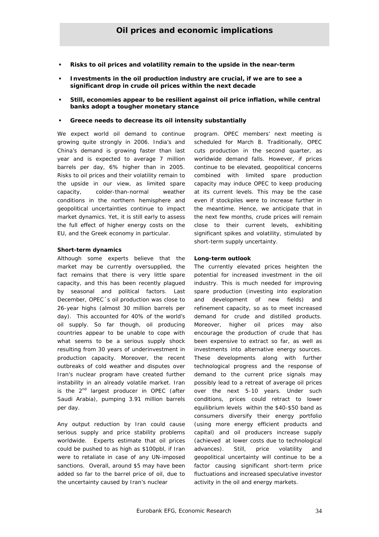- **Risks to oil prices and volatility remain to the upside in the near-term**
- **Investments in the oil production industry are crucial, if we are to see a significant drop in crude oil prices within the next decade**
- **Still, economies appear to be resilient against oil price inflation, while central banks adopt a tougher monetary stance**
- **Greece needs to decrease its oil intensity substantially**

We expect world oil demand to continue growing quite strongly in 2006. India's and China's demand is growing faster than last year and is expected to average 7 million barrels per day, 6% higher than in 2005. Risks to oil prices and their volatility remain to the upside in our view, as limited spare capacity, colder-than-normal weather conditions in the northern hemisphere and geopolitical uncertainties continue to impact market dynamics. Yet, it is still early to assess the full effect of higher energy costs on the EU, and the Greek economy in particular.

# **Short-term dynamics**

Although some experts believe that the market may be currently oversupplied, the fact remains that there is very little spare capacity, and this has been recently plagued by seasonal and political factors. Last December, OPEC´s oil production was close to 26-year highs (almost 30 million barrels per day). This accounted for 40% of the world's oil supply. So far though, oil producing countries appear to be unable to cope with what seems to be a serious supply shock resulting from 30 years of underinvestment in production capacity. Moreover, the recent outbreaks of cold weather and disputes over Iran's nuclear program have created further instability in an already volatile market. Iran is the  $2^{nd}$  largest producer in OPEC (after Saudi Arabia), pumping 3.91 million barrels per day.

Any output reduction by Iran could cause serious supply and price stability problems worldwide. Experts estimate that oil prices could be pushed to as high as \$100pbl, if Iran were to retaliate in case of any UN-imposed sanctions. Overall, around \$5 may have been added so far to the barrel price of oil, due to the uncertainty caused by Iran's nuclear

program. OPEC members' next meeting is scheduled for March 8. Traditionally, OPEC cuts production in the second quarter, as worldwide demand falls. However, if prices continue to be elevated, geopolitical concerns combined with limited spare production capacity may induce OPEC to keep producing at its current levels. This may be the case even if stockpiles were to increase further in the meantime. Hence, we anticipate that in the next few months, crude prices will remain close to their current levels, exhibiting significant spikes and volatility, stimulated by short-term supply uncertainty.

# **Long-term outlook**

The currently elevated prices heighten the potential for increased investment in the oil industry. This is much needed for improving spare production (investing into exploration and development of new fields) and refinement capacity, so as to meet increased demand for crude and distilled products. Moreover, higher oil prices may also encourage the production of crude that has been expensive to extract so far, as well as investments into alternative energy sources. These developments along with further technological progress and the response of demand to the current price signals may possibly lead to a retreat of average oil prices over the next 5-10 years. Under such conditions, prices could retract to lower equilibrium levels within the \$40-\$50 band as consumers diversify their energy portfolio (using more energy efficient products and capital) and oil producers increase supply (achieved at lower costs due to technological advances). Still, price volatility and geopolitical uncertainty will continue to be a factor causing significant short-term price fluctuations and increased speculative investor activity in the oil and energy markets.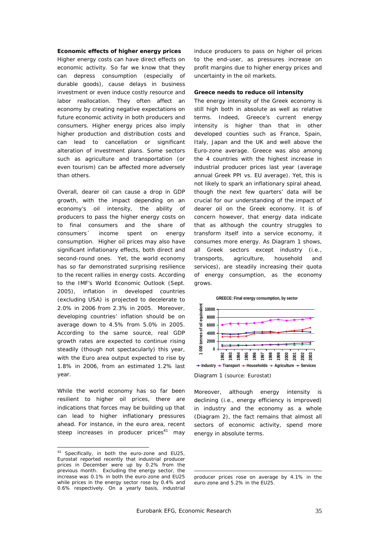#### **Economic effects of higher energy prices**

Higher energy costs can have direct effects on economic activity. So far we know that they can depress consumption (especially of durable goods), cause delays in business investment or even induce costly resource and labor reallocation. They often affect an economy by creating negative expectations on future economic activity in both producers and consumers. Higher energy prices also imply higher production and distribution costs and can lead to cancellation or significant alteration of investment plans. Some sectors such as agriculture and transportation (or even tourism) can be affected more adversely than others.

Overall, dearer oil can cause a drop in GDP growth, with the impact depending on an economy's oil intensity, the ability of producers to pass the higher energy costs on to final consumers and the share of consumers´ income spent on energy consumption. Higher oil prices may also have significant inflationary effects, both direct and second-round ones. Yet, the world economy has so far demonstrated surprising resilience to the recent rallies in energy costs. According to the IMF's World Economic Outlook (Sept. 2005), inflation in developed countries (excluding USA) is projected to decelerate to 2.0% in 2006 from 2.3% in 2005. Moreover, developing countries' inflation should be on average down to 4.5% from 5.0% in 2005. According to the same source, real GDP growth rates are expected to continue rising steadily (though not spectacularly) this year, with the Euro area output expected to rise by 1.8% in 2006, from an estimated 1.2% last year.

While the world economy has so far been resilient to higher oil prices, there are indications that forces may be building up that can lead to higher inflationary pressures ahead. For instance, in the euro area, recent steep increases in producer prices<sup>41</sup> may

 $\overline{a}$ 

induce producers to pass on higher oil prices to the end-user, as pressures increase on profit margins due to higher energy prices and uncertainty in the oil markets.

#### **Greece needs to reduce oil intensity**

The energy intensity of the Greek economy is still high both in absolute as well as relative terms. Indeed, Greece's current energy intensity is higher than that in other developed counties such as France, Spain, Italy, Japan and the UK and well above the Euro-zone average. Greece was also among the 4 countries with the highest increase in industrial producer prices last year (average annual Greek PPI vs. EU average). Yet, this is not likely to spark an inflationary spiral ahead, though the next few quarters' data will be crucial for our understanding of the impact of dearer oil on the Greek economy. It is of concern however, that energy data indicate that as although the country struggles to transform itself into a service economy, it consumes more energy. As Diagram 1 shows, all Greek sectors except industry (i.e., transports, agriculture, household and services), are steadily increasing their quota of energy consumption, as the economy grows.





Diagram 1 (source: Eurostat)

Moreover, although energy intensity is declining (i.e., energy efficiency is improved) in industry and the economy as a whole (Diagram 2), the fact remains that almost all sectors of economic activity, spend more energy in absolute terms.

<sup>41</sup> Specifically, in both the euro-zone and EU25, Eurostat reported recently that industrial producer prices in December were up by 0.2% from the previous month. Excluding the energy sector, the increase was 0.1% in both the euro-zone and EU25 while prices in the energy sector rose by 0.4% and 0.6% respectively. On a yearly basis, industrial

producer prices rose on average by 4.1% in the euro-zone and 5.2% in the EU25.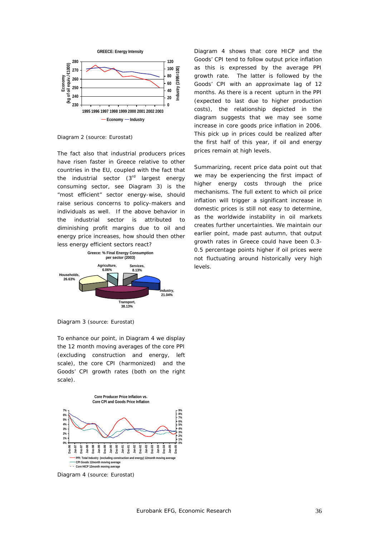

Diagram 2 (source: Eurostat)

The fact also that industrial producers prices have risen faster in Greece relative to other countries in the EU, coupled with the fact that the industrial sector  $(3<sup>rd</sup>$  largest energy consuming sector, see Diagram 3) is the "most efficient" sector energy-wise, should raise serious concerns to policy-makers and individuals as well. If the above behavior in the industrial sector is attributed to diminishing profit margins due to oil and energy price increases, how should then other less energy efficient sectors react?



Diagram 4 shows that core HICP and the Goods' CPI tend to follow output price inflation as this is expressed by the average PPI growth rate. The latter is followed by the Goods' CPI with an approximate lag of 12 months. As there is a recent upturn in the PPI (expected to last due to higher production costs), the relationship depicted in the diagram suggests that we may see some increase in core goods price inflation in 2006. This pick up in prices could be realized after the first half of this year, if oil and energy prices remain at high levels.

Summarizing, recent price data point out that we may be experiencing the first impact of higher energy costs through the price mechanisms. The full extent to which oil price inflation will trigger a significant increase in domestic prices is still not easy to determine, as the worldwide instability in oil markets creates further uncertainties. We maintain our earlier point, made past autumn, that output growth rates in Greece could have been 0.3- 0.5 percentage points higher if oil prices were not fluctuating around historically very high levels.

Diagram 3 (source: Eurostat)

To enhance our point, in Diagram 4 we display the 12 month moving averages of the core PPI (excluding construction and energy, left scale), the core CPI (harmonized) and the Goods' CPI growth rates (both on the right scale).



Diagram 4 (source: Eurostat)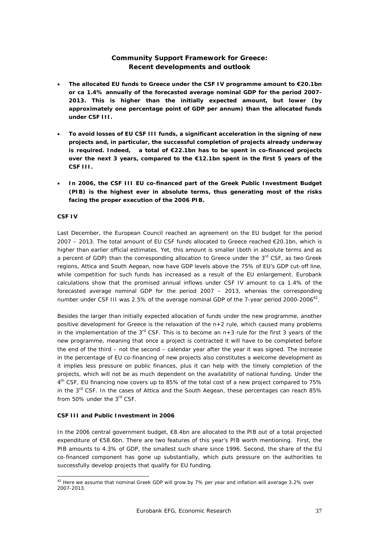# **Community Support Framework for Greece:**  *Recent developments and outlook*

- **The allocated EU funds to Greece under the CSF IV programme amount to €20.1bn or ca 1.4% annually of the forecasted average nominal GDP for the period 2007- 2013. This is higher than the initially expected amount, but lower (by approximately one percentage point of GDP per annum) than the allocated funds under CSF III.**
- **To avoid losses of EU CSF III funds, a significant acceleration in the signing of new projects and, in particular, the successful completion of projects already underway is required. Indeed, a total of €22.1bn has to be spent in co-financed projects over the next 3 years, compared to the €12.1bn spent in the first 5 years of the CSF III.**
- **In 2006, the CSF III EU co-financed part of the Greek Public Investment Budget (PIB) is the highest ever in absolute terms, thus generating most of the risks facing the proper execution of the 2006 PIB.**

# **CSF IV**

 $\overline{a}$ 

Last December, the European Council reached an agreement on the EU budget for the period 2007 – 2013. The total amount of EU CSF funds allocated to Greece reached €20.1bn, which is higher than earlier official estimates. Yet, this amount is smaller (both in absolute terms and as a percent of GDP) than the corresponding allocation to Greece under the  $3<sup>rd</sup>$  CSF, as two Greek regions, Attica and South Aegean, now have GDP levels above the 75% of EU's GDP cut-off line, while competition for such funds has increased as a result of the EU enlargement. Eurobank calculations show that the promised annual inflows under CSF IV amount to ca 1.4% of the forecasted average nominal GDP for the period 2007 – 2013, whereas the corresponding number under CSF III was 2.5% of the average nominal GDP of the 7-year period 2000-2006<sup>42</sup>.

Besides the larger than initially expected allocation of funds under the new programme, another positive development for Greece is the relaxation of the n+2 rule, which caused many problems in the implementation of the  $3<sup>rd</sup>$  CSF. This is to become an  $n+3$  rule for the first 3 years of the new programme, meaning that once a project is contracted it will have to be completed before the end of the third – not the second – calendar year after the year it was signed. The increase in the percentage of EU co-financing of new projects also constitutes a welcome development as it implies less pressure on public finances, plus it can help with the timely completion of the projects, which will not be as much dependent on the availability of national funding. Under the 4th CSF, EU financing now covers up to 85% of the total cost of a new project compared to 75% in the  $3<sup>rd</sup>$  CSF. In the cases of Attica and the South Aegean, these percentages can reach 85% from 50% under the 3<sup>rd</sup> CSF.

# **CSF III and Public Investment in 2006**

In the 2006 central government budget, €8.4bn are allocated to the PIB out of a total projected expenditure of €58.6bn. There are two features of this year's PIB worth mentioning. First, the PIB amounts to 4.3% of GDP, the smallest such share since 1996. Second, the share of the EU co-financed component has gone up substantially, which puts pressure on the authorities to successfully develop projects that qualify for EU funding.

 $^{42}$  Here we assume that nominal Greek GDP will grow by 7% per year and inflation will average 3.2% over 2007-2013.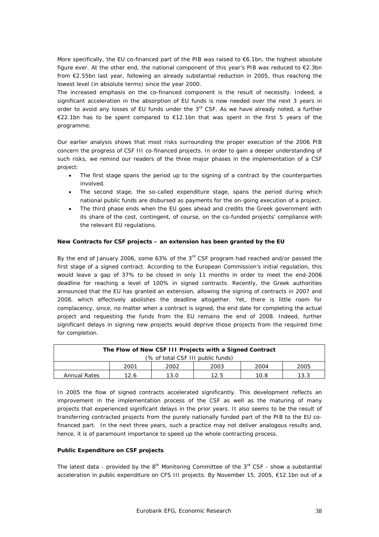More specifically, the EU co-financed part of the PIB was raised to €6.1bn, the highest absolute figure ever. At the other end, the national component of this year's PIB was reduced to  $\epsilon$ 2.3bn from €2.55bn last year, following an already substantial reduction in 2005, thus reaching the lowest level (in absolute terms) since the year 2000.

The increased emphasis on the co-financed component is the result of necessity. Indeed, a significant acceleration in the absorption of EU funds is now needed over the next 3 years in order to avoid any losses of EU funds under the  $3<sup>rd</sup>$  CSF. As we have already noted, a further €22.1bn has to be spent compared to €12.1bn that was spent in the first 5 years of the programme.

Our earlier analysis shows that most risks surrounding the proper execution of the 2006 PIB concern the progress of CSF III co-financed projects. In order to gain a deeper understanding of such risks, we remind our readers of the three major phases in the implementation of a CSF project:

- The first stage spans the period up to the signing of a contract by the counterparties involved.
- The second stage, the so-called expenditure stage, spans the period during which national public funds are disbursed as payments for the on-going execution of a project.
- The third phase ends when the EU goes ahead and credits the Greek government with its share of the cost, contingent, of course, on the co-funded projects' compliance with the relevant EU regulations.

# *New Contracts for CSF projects – an extension has been granted by the EU*

By the end of January 2006, some 63% of the  $3<sup>rd</sup>$  CSF program had reached and/or passed the first stage of a signed contract. According to the European Commission's initial regulation, this would leave a gap of 37% to be closed in only 11 months in order to meet the end-2006 deadline for reaching a level of 100% in signed contracts. Recently, the Greek authorities announced that the EU has granted an extension, allowing the signing of contracts in 2007 and 2008, which effectively abolishes the deadline altogether. Yet, there is little room for complacency, since, no matter when a contract is signed, the end date for completing the actual project and requesting the funds from the EU remains the end of 2008. Indeed, further significant delays in signing new projects would deprive those projects from the required time for completion.

| The Flow of New CSF III Projects with a Signed Contract     |  |  |  |  |  |  |  |  |
|-------------------------------------------------------------|--|--|--|--|--|--|--|--|
| (% of total CSF III public funds)                           |  |  |  |  |  |  |  |  |
| 2001<br>2003<br>2002<br>2004                                |  |  |  |  |  |  |  |  |
| 10.8<br><b>Annual Rates</b><br>12.6<br>13.3<br>13.0<br>12.5 |  |  |  |  |  |  |  |  |

In 2005 the flow of signed contracts accelerated significantly. This development reflects an improvement in the implementation process of the CSF as well as the maturing of many projects that experienced significant delays in the prior years. It also seems to be the result of transferring contracted projects from the purely nationally funded part of the PIB to the EU cofinanced part. In the next three years, such a practice may not deliver analogous results and, hence, it is of paramount importance to speed up the whole contracting process.

# *Public Expenditure on CSF projects*

The latest data - provided by the  $8<sup>th</sup>$  Monitoring Committee of the  $3<sup>rd</sup>$  CSF - show a substantial acceleration in public expenditure on CFS III projects. By November 15, 2005, €12.1bn out of a